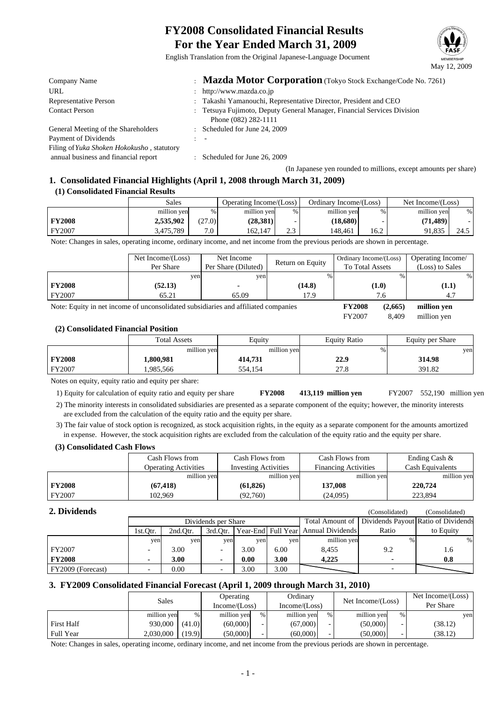# **FY2008 Consolidated Financial Results For the Year Ended March 31, 2009**



English Translation from the Original Japanese-Language Document

| Company Name                               | : Mazda Motor Corporation (Tokyo Stock Exchange/Code No. 7261)                                  |
|--------------------------------------------|-------------------------------------------------------------------------------------------------|
| URL                                        | : http://www.mazda.co.jp                                                                        |
| Representative Person                      | : Takashi Yamanouchi, Representative Director, President and CEO                                |
| <b>Contact Person</b>                      | : Tetsuya Fujimoto, Deputy General Manager, Financial Services Division<br>Phone (082) 282-1111 |
| General Meeting of the Shareholders        | : Scheduled for June 24, 2009                                                                   |
| Payment of Dividends                       | $\overline{\phantom{a}}$                                                                        |
| Filing of Yuka Shoken Hokokusho, statutory |                                                                                                 |
| annual business and financial report       | $\therefore$ Scheduled for June 26, 2009                                                        |

(In Japanese yen rounded to millions, except amounts per share)

### **1. Consolidated Financial Highlights (April 1, 2008 through March 31, 2009) (1) Consolidated Financial Results**

|               | Sales       |        | Operating Income/(Loss) |                 | Ordinary Income/(Loss) |      | Net Income/(Loss) |      |
|---------------|-------------|--------|-------------------------|-----------------|------------------------|------|-------------------|------|
|               | million yen | %۱     | million yen             | %               | million yen            | %    | million yen       | %    |
| <b>FY2008</b> | 2,535,902   | (27.0) | (28,381)                |                 | (18,680)               |      | (71,489)          |      |
| FY2007        | 3.475.789   | 7.0    | 162,147                 | $\sim$<br>ر . ب | 148.461                | 16.2 | 91,835            | 24.5 |

Note: Changes in sales, operating income, ordinary income, and net income from the previous periods are shown in percentage.

|                                                                                    | Net Income/(Loss)<br>Per Share | Net Income<br>Per Share (Diluted) | Return on Equity | Ordinary Income/(Loss)<br><b>To Total Assets</b> | Operating Income/<br>(Loss) to Sales |
|------------------------------------------------------------------------------------|--------------------------------|-----------------------------------|------------------|--------------------------------------------------|--------------------------------------|
|                                                                                    | ven                            | ven                               | %                | %                                                | %                                    |
| <b>FY2008</b>                                                                      | (52.13)                        |                                   | (14.8)           | (1.0)                                            | (1.1)                                |
| FY2007                                                                             | 65.21                          | 65.09                             | 17.9             | 7.6                                              |                                      |
| Note: Equity in net income of unconsolidated subsidiaries and affiliated companies |                                |                                   |                  | <b>FY2008</b><br>(2,665)                         | million yen                          |

FY2007 8,409 million yen 8,409

#### **(2) Consolidated Financial Position**

|               | <b>Total Assets</b> | Equity      | <b>Equity Ratio</b> | Equity per Share |
|---------------|---------------------|-------------|---------------------|------------------|
|               | million yen         | million yen | %                   | yen              |
| <b>FY2008</b> | 1,800,981           | 414,731     | 22.9                | 314.98           |
| FY2007        | .985,566            | 554.154     | 27.8                | 391.82           |

Notes on equity, equity ratio and equity per share:

1) Equity for calculation of equity ratio and equity per share **FY2008 413,119** FY2007 552,190 million yen

 2) The minority interests in consolidated subsidiaries are presented as a separate component of the equity; however, the minority interests are excluded from the calculation of the equity ratio and the equity per share.

 3) The fair value of stock option is recognized, as stock acquisition rights, in the equity as a separate component for the amounts amortized in expense. However, the stock acquisition rights are excluded from the calculation of the equity ratio and the equity per share.

#### **(3) Consolidated Cash Flows**

|               | Cash Flows from             | Cash Flows from             | Cash Flows from             | Ending Cash &           |
|---------------|-----------------------------|-----------------------------|-----------------------------|-------------------------|
|               | <b>Operating Activities</b> | <b>Investing Activities</b> | <b>Financing Activities</b> | <b>Cash Equivalents</b> |
|               | million yen                 | million yen                 | million yen                 | million yen             |
| <b>FY2008</b> | (67, 418)                   | (61, 826)                   | 137,008                     | 220,724                 |
| FY2007        | 102.969                     | (92.760)                    | (24,095)                    | 223,894                 |

#### **2. Dividends**

| 2. Dividends      |          |          |                     |      |      |                                     | (Consolidated) | (Consolidated)                      |
|-------------------|----------|----------|---------------------|------|------|-------------------------------------|----------------|-------------------------------------|
|                   |          |          | Dividends per Share |      |      | Total Amount of                     |                | Dividends Payout Ratio of Dividends |
|                   | 1st.Otr. | 2nd.Otr. | 3rd.Otr.            |      |      | Year-End Full Year Annual Dividends | Ratio          | to Equity                           |
|                   | yen      | yen      | yen                 | yen  | yen  | million yen                         | %              | %                                   |
| FY2007            |          | 3.00     | -                   | 3.00 | 6.00 | 8.455                               | 9.2            | 1.6                                 |
| <b>FY2008</b>     |          | 3.00     |                     | 0.00 | 3.00 | 4.225                               |                | 0.8                                 |
| FY2009 (Forecast) |          | 0.00     | -                   | 3.00 | 3.00 |                                     |                |                                     |

#### **3. FY2009 Consolidated Financial Forecast (April 1, 2009 through March 31, 2010)**

|                   | Sales       |        | <b>Operating</b><br>Income/(Loss) |      | Ordinary<br>Income/(Loss) |      |             |   | Net Income/(Loss) |  | Net Income/(Loss)<br>Per Share |
|-------------------|-------------|--------|-----------------------------------|------|---------------------------|------|-------------|---|-------------------|--|--------------------------------|
|                   | million yen | %      | million yen                       | $\%$ | million yen               | $\%$ | million yen | % | yen               |  |                                |
| <b>First Half</b> | 930,000     | (41.0) | (60,000)                          |      | (67,000)                  |      | (50,000)    |   | (38.12)           |  |                                |
| <b>Full Year</b>  | 2.030.000   | (19.9) | (50,000)                          |      | (60.000)                  |      | (50,000)    |   | (38.12)           |  |                                |

Note: Changes in sales, operating income, ordinary income, and net income from the previous periods are shown in percentage.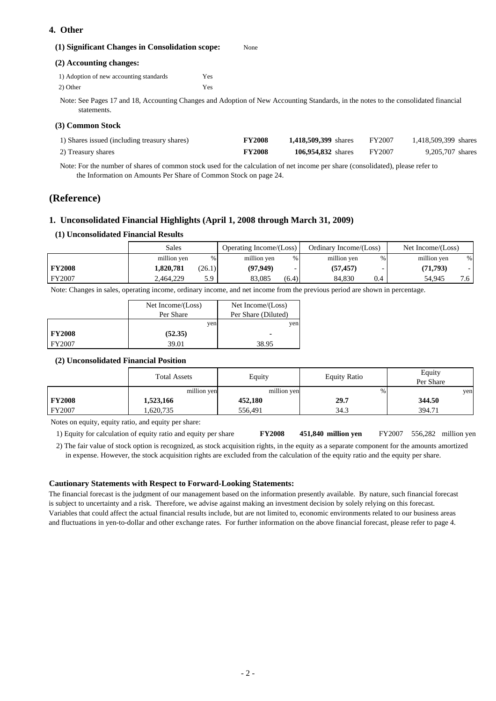# **4. Other**

| (1) Significant Changes in Consolidation scope: | None                                                                                                                               |
|-------------------------------------------------|------------------------------------------------------------------------------------------------------------------------------------|
| (2) Accounting changes:                         |                                                                                                                                    |
| 1) Adoption of new accounting standards         | Yes                                                                                                                                |
| 2) Other                                        | Yes                                                                                                                                |
| statements.                                     | Note: See Pages 17 and 18, Accounting Changes and Adoption of New Accounting Standards, in the notes to the consolidated financial |

#### **(3) Common Stock**

| 1) Shares issued (including treasury shares) | <b>FY2008</b> | <b>1.418.509.399</b> shares | FY2007 | 1.418.509.399 shares |
|----------------------------------------------|---------------|-----------------------------|--------|----------------------|
| 2) Treasury shares                           | <b>FY2008</b> | <b>106.954.832</b> shares   | FY2007 | 9.205.707 shares     |

 Note: For the number of shares of common stock used for the calculation of net income per share (consolidated), please refer to the Information on Amounts Per Share of Common Stock on page 24.

# **(Reference)**

## **1. Unconsolidated Financial Highlights (April 1, 2008 through March 31, 2009)**

#### **(1) Unconsolidated Financial Results**

|               | Sales       |        | Operating Income/(Loss) |       | Ordinary Income/(Loss) |      | Net Income/(Loss) |             |
|---------------|-------------|--------|-------------------------|-------|------------------------|------|-------------------|-------------|
|               | million yen | %      | million yen             | %     | million yen            | $\%$ | million yen       | %           |
| <b>FY2008</b> | 1.820.781   | (26.1) | (97, 949)               |       | (57, 457)              |      | (71,793)          |             |
| <b>FY2007</b> | 2.464.229   | 5.9    | 83.085                  | (6.4) | 84.830                 | 0.4  | 54.945            | $\cdot$ . O |

Note: Changes in sales, operating income, ordinary income, and net income from the previous period are shown in percentage.

|               | Net Income/(Loss) | Net Income/(Loss)   |
|---------------|-------------------|---------------------|
|               | Per Share         | Per Share (Diluted) |
|               | yen               | yen                 |
| <b>FY2008</b> | (52.35)           |                     |
| <b>FY2007</b> | 39.01             | 38.95               |

#### **(2) Unconsolidated Financial Position**

|               | <b>Total Assets</b> | Equity      | <b>Equity Ratio</b> | Equity<br>Per Share |
|---------------|---------------------|-------------|---------------------|---------------------|
|               | million yen         | million yen | %                   | yen                 |
| <b>FY2008</b> | 1,523,166           | 452,180     | 29.7                | 344.50              |
| <b>FY2007</b> | .620.735            | 556.491     | 34.3                | 394.71              |

Notes on equity, equity ratio, and equity per share:

 1) Equity for calculation of equity ratio and equity per share **FY2008 million yen** FY2007 million yen 451,840 million yen

 2) The fair value of stock option is recognized, as stock acquisition rights, in the equity as a separate component for the amounts amortized in expense. However, the stock acquisition rights are excluded from the calculation of the equity ratio and the equity per share.

#### **Cautionary Statements with Respect to Forward-Looking Statements:**

The financial forecast is the judgment of our management based on the information presently available. By nature, such financial forecast is subject to uncertainty and a risk. Therefore, we advise against making an investment decision by solely relying on this forecast. Variables that could affect the actual financial results include, but are not limited to, economic environments related to our business areas and fluctuations in yen-to-dollar and other exchange rates. For further information on the above financial forecast, please refer to page 4.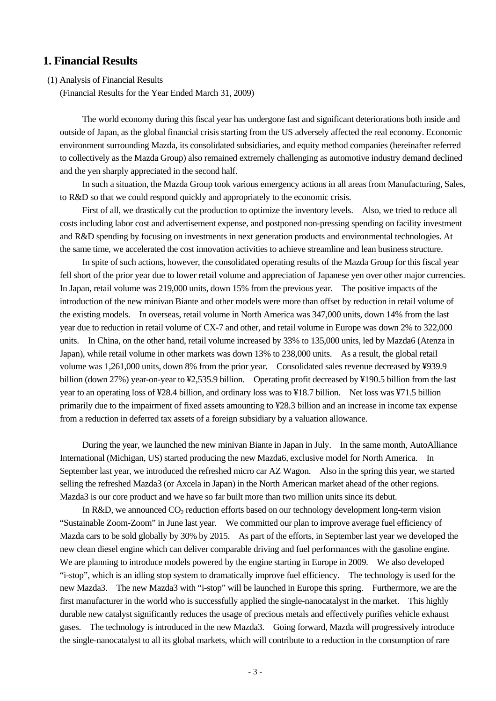# **1. Financial Results**

(1) Analysis of Financial Results

(Financial Results for the Year Ended March 31, 2009)

The world economy during this fiscal year has undergone fast and significant deteriorations both inside and outside of Japan, as the global financial crisis starting from the US adversely affected the real economy. Economic environment surrounding Mazda, its consolidated subsidiaries, and equity method companies (hereinafter referred to collectively as the Mazda Group) also remained extremely challenging as automotive industry demand declined and the yen sharply appreciated in the second half.

In such a situation, the Mazda Group took various emergency actions in all areas from Manufacturing, Sales, to R&D so that we could respond quickly and appropriately to the economic crisis.

First of all, we drastically cut the production to optimize the inventory levels. Also, we tried to reduce all costs including labor cost and advertisement expense, and postponed non-pressing spending on facility investment and R&D spending by focusing on investments in next generation products and environmental technologies. At the same time, we accelerated the cost innovation activities to achieve streamline and lean business structure.

In spite of such actions, however, the consolidated operating results of the Mazda Group for this fiscal year fell short of the prior year due to lower retail volume and appreciation of Japanese yen over other major currencies. In Japan, retail volume was 219,000 units, down 15% from the previous year. The positive impacts of the introduction of the new minivan Biante and other models were more than offset by reduction in retail volume of the existing models. In overseas, retail volume in North America was 347,000 units, down 14% from the last year due to reduction in retail volume of CX-7 and other, and retail volume in Europe was down 2% to 322,000 units. In China, on the other hand, retail volume increased by 33% to 135,000 units, led by Mazda6 (Atenza in Japan), while retail volume in other markets was down 13% to 238,000 units. As a result, the global retail volume was 1,261,000 units, down 8% from the prior year. Consolidated sales revenue decreased by ¥939.9 billion (down 27%) year-on-year to ¥2,535.9 billion. Operating profit decreased by ¥190.5 billion from the last year to an operating loss of ¥28.4 billion, and ordinary loss was to ¥18.7 billion. Net loss was ¥71.5 billion primarily due to the impairment of fixed assets amounting to ¥28.3 billion and an increase in income tax expense from a reduction in deferred tax assets of a foreign subsidiary by a valuation allowance.

During the year, we launched the new minivan Biante in Japan in July. In the same month, AutoAlliance International (Michigan, US) started producing the new Mazda6, exclusive model for North America. In September last year, we introduced the refreshed micro car AZ Wagon. Also in the spring this year, we started selling the refreshed Mazda3 (or Axcela in Japan) in the North American market ahead of the other regions. Mazda3 is our core product and we have so far built more than two million units since its debut.

In R&D, we announced  $CO<sub>2</sub>$  reduction efforts based on our technology development long-term vision "Sustainable Zoom-Zoom" in June last year. We committed our plan to improve average fuel efficiency of Mazda cars to be sold globally by 30% by 2015. As part of the efforts, in September last year we developed the new clean diesel engine which can deliver comparable driving and fuel performances with the gasoline engine. We are planning to introduce models powered by the engine starting in Europe in 2009. We also developed "i-stop", which is an idling stop system to dramatically improve fuel efficiency. The technology is used for the new Mazda3. The new Mazda3 with "i-stop" will be launched in Europe this spring. Furthermore, we are the first manufacturer in the world who is successfully applied the single-nanocatalyst in the market. This highly durable new catalyst significantly reduces the usage of precious metals and effectively purifies vehicle exhaust gases. The technology is introduced in the new Mazda3. Going forward, Mazda will progressively introduce the single-nanocatalyst to all its global markets, which will contribute to a reduction in the consumption of rare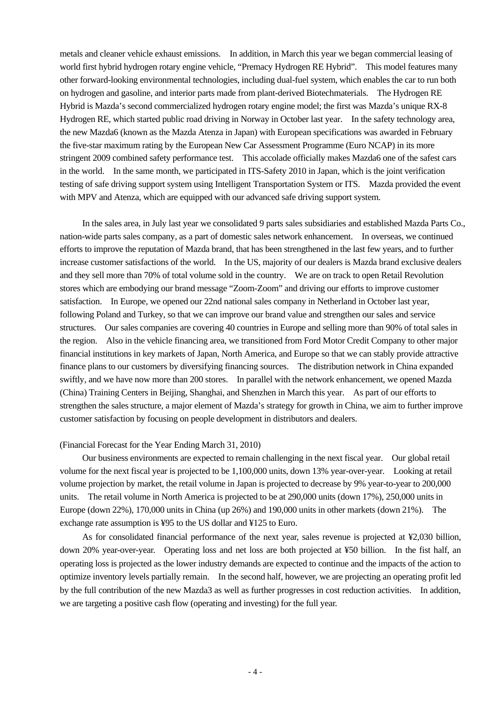metals and cleaner vehicle exhaust emissions. In addition, in March this year we began commercial leasing of world first hybrid hydrogen rotary engine vehicle, "Premacy Hydrogen RE Hybrid". This model features many other forward-looking environmental technologies, including dual-fuel system, which enables the car to run both on hydrogen and gasoline, and interior parts made from plant-derived Biotechmaterials. The Hydrogen RE Hybrid is Mazda's second commercialized hydrogen rotary engine model; the first was Mazda's unique RX-8 Hydrogen RE, which started public road driving in Norway in October last year. In the safety technology area, the new Mazda6 (known as the Mazda Atenza in Japan) with European specifications was awarded in February the five-star maximum rating by the European New Car Assessment Programme (Euro NCAP) in its more stringent 2009 combined safety performance test. This accolade officially makes Mazda6 one of the safest cars in the world. In the same month, we participated in ITS-Safety 2010 in Japan, which is the joint verification testing of safe driving support system using Intelligent Transportation System or ITS. Mazda provided the event with MPV and Atenza, which are equipped with our advanced safe driving support system.

In the sales area, in July last year we consolidated 9 parts sales subsidiaries and established Mazda Parts Co., nation-wide parts sales company, as a part of domestic sales network enhancement. In overseas, we continued efforts to improve the reputation of Mazda brand, that has been strengthened in the last few years, and to further increase customer satisfactions of the world. In the US, majority of our dealers is Mazda brand exclusive dealers and they sell more than 70% of total volume sold in the country. We are on track to open Retail Revolution stores which are embodying our brand message "Zoom-Zoom" and driving our efforts to improve customer satisfaction. In Europe, we opened our 22nd national sales company in Netherland in October last year, following Poland and Turkey, so that we can improve our brand value and strengthen our sales and service structures. Our sales companies are covering 40 countries in Europe and selling more than 90% of total sales in the region. Also in the vehicle financing area, we transitioned from Ford Motor Credit Company to other major financial institutions in key markets of Japan, North America, and Europe so that we can stably provide attractive finance plans to our customers by diversifying financing sources. The distribution network in China expanded swiftly, and we have now more than 200 stores. In parallel with the network enhancement, we opened Mazda (China) Training Centers in Beijing, Shanghai, and Shenzhen in March this year. As part of our efforts to strengthen the sales structure, a major element of Mazda's strategy for growth in China, we aim to further improve customer satisfaction by focusing on people development in distributors and dealers.

### (Financial Forecast for the Year Ending March 31, 2010)

Our business environments are expected to remain challenging in the next fiscal year. Our global retail volume for the next fiscal year is projected to be 1,100,000 units, down 13% year-over-year. Looking at retail volume projection by market, the retail volume in Japan is projected to decrease by 9% year-to-year to 200,000 units. The retail volume in North America is projected to be at 290,000 units (down 17%), 250,000 units in Europe (down 22%), 170,000 units in China (up 26%) and 190,000 units in other markets (down 21%). The exchange rate assumption is ¥95 to the US dollar and ¥125 to Euro.

As for consolidated financial performance of the next year, sales revenue is projected at ¥2,030 billion, down 20% year-over-year. Operating loss and net loss are both projected at ¥50 billion. In the fist half, an operating loss is projected as the lower industry demands are expected to continue and the impacts of the action to optimize inventory levels partially remain. In the second half, however, we are projecting an operating profit led by the full contribution of the new Mazda3 as well as further progresses in cost reduction activities. In addition, we are targeting a positive cash flow (operating and investing) for the full year.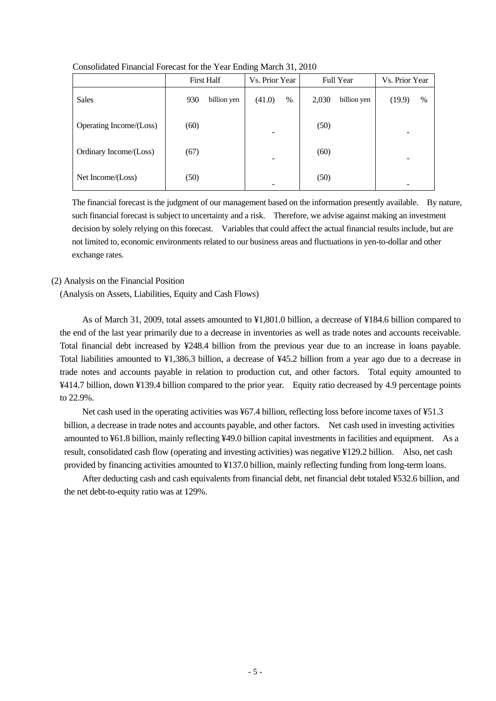| Consolidated Financial Forecast for the Year Ending March 31, 2010 |  |
|--------------------------------------------------------------------|--|
|--------------------------------------------------------------------|--|

|                         | <b>First Half</b>  | Vs. Prior Year | <b>Full Year</b>     | Vs. Prior Year           |  |
|-------------------------|--------------------|----------------|----------------------|--------------------------|--|
| <b>Sales</b>            | 930<br>billion yen | (41.0)<br>%    | 2,030<br>billion yen | (19.9)<br>$\%$           |  |
| Operating Income/(Loss) | (60)               |                | (50)                 | -                        |  |
| Ordinary Income/(Loss)  | (67)               | $\equiv$       | (60)                 | $\overline{\phantom{0}}$ |  |
| Net Income/(Loss)       | (50)               |                | (50)                 | -                        |  |

The financial forecast is the judgment of our management based on the information presently available. By nature, such financial forecast is subject to uncertainty and a risk. Therefore, we advise against making an investment decision by solely relying on this forecast. Variables that could affect the actual financial results include, but are not limited to, economic environments related to our business areas and fluctuations in yen-to-dollar and other exchange rates.

#### (2) Analysis on the Financial Position

(Analysis on Assets, Liabilities, Equity and Cash Flows)

As of March 31, 2009, total assets amounted to ¥1,801.0 billion, a decrease of ¥184.6 billion compared to the end of the last year primarily due to a decrease in inventories as well as trade notes and accounts receivable. Total financial debt increased by ¥248.4 billion from the previous year due to an increase in loans payable. Total liabilities amounted to ¥1,386.3 billion, a decrease of ¥45.2 billion from a year ago due to a decrease in trade notes and accounts payable in relation to production cut, and other factors. Total equity amounted to ¥414.7 billion, down ¥139.4 billion compared to the prior year. Equity ratio decreased by 4.9 percentage points to 22.9%.

Net cash used in the operating activities was ¥67.4 billion, reflecting loss before income taxes of ¥51.3 billion, a decrease in trade notes and accounts payable, and other factors. Net cash used in investing activities amounted to ¥61.8 billion, mainly reflecting ¥49.0 billion capital investments in facilities and equipment. As a result, consolidated cash flow (operating and investing activities) was negative ¥129.2 billion. Also, net cash provided by financing activities amounted to ¥137.0 billion, mainly reflecting funding from long-term loans.

After deducting cash and cash equivalents from financial debt, net financial debt totaled ¥532.6 billion, and the net debt-to-equity ratio was at 129%.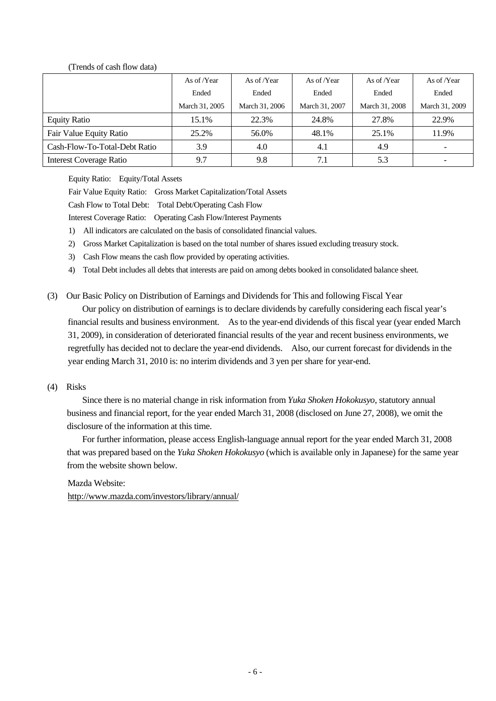# (Trends of cash flow data)

|                                | As of /Year    | As of /Year    | As of /Year    | As of /Year    | As of /Year    |
|--------------------------------|----------------|----------------|----------------|----------------|----------------|
|                                | Ended          | Ended          | Ended          | Ended          | Ended          |
|                                | March 31, 2005 | March 31, 2006 | March 31, 2007 | March 31, 2008 | March 31, 2009 |
| <b>Equity Ratio</b>            | 15.1%          | 22.3%          | 24.8%          | 27.8%          | 22.9%          |
| Fair Value Equity Ratio        | 25.2%          | 56.0%          | 48.1%          | 25.1%          | 11.9%          |
| Cash-Flow-To-Total-Debt Ratio  | 3.9            | 4.0            | 4.1            | 4.9            |                |
| <b>Interest Coverage Ratio</b> | 9.7            | 9.8            | 7.1            | 5.3            |                |

Equity Ratio: Equity/Total Assets

Fair Value Equity Ratio: Gross Market Capitalization/Total Assets

Cash Flow to Total Debt: Total Debt/Operating Cash Flow

Interest Coverage Ratio: Operating Cash Flow/Interest Payments

- 1) All indicators are calculated on the basis of consolidated financial values.
- 2) Gross Market Capitalization is based on the total number of shares issued excluding treasury stock.
- 3) Cash Flow means the cash flow provided by operating activities.
- 4) Total Debt includes all debts that interests are paid on among debts booked in consolidated balance sheet.

(3) Our Basic Policy on Distribution of Earnings and Dividends for This and following Fiscal Year

Our policy on distribution of earnings is to declare dividends by carefully considering each fiscal year's financial results and business environment. As to the year-end dividends of this fiscal year (year ended March 31, 2009), in consideration of deteriorated financial results of the year and recent business environments, we regretfully has decided not to declare the year-end dividends. Also, our current forecast for dividends in the year ending March 31, 2010 is: no interim dividends and 3 yen per share for year-end.

# (4) Risks

Since there is no material change in risk information from *Yuka Shoken Hokokusyo*, statutory annual business and financial report, for the year ended March 31, 2008 (disclosed on June 27, 2008), we omit the disclosure of the information at this time.

For further information, please access English-language annual report for the year ended March 31, 2008 that was prepared based on the *Yuka Shoken Hokokusyo* (which is available only in Japanese) for the same year from the website shown below.

Mazda Website: http://www.mazda.com/investors/library/annual/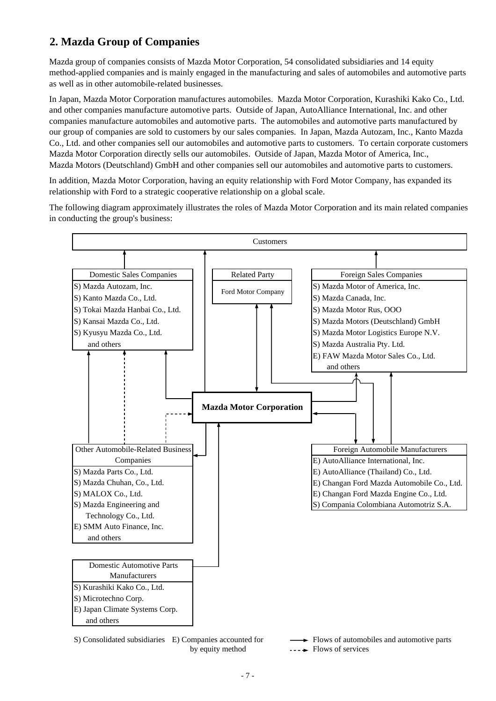# **2. Mazda Group of Companies**

Mazda group of companies consists of Mazda Motor Corporation, 54 consolidated subsidiaries and 14 equity method-applied companies and is mainly engaged in the manufacturing and sales of automobiles and automotive parts as well as in other automobile-related businesses.

In Japan, Mazda Motor Corporation manufactures automobiles. Mazda Motor Corporation, Kurashiki Kako Co., Ltd. and other companies manufacture automotive parts. Outside of Japan, AutoAlliance International, Inc. and other companies manufacture automobiles and automotive parts. The automobiles and automotive parts manufactured by our group of companies are sold to customers by our sales companies. In Japan, Mazda Autozam, Inc., Kanto Mazda Co., Ltd. and other companies sell our automobiles and automotive parts to customers. To certain corporate customers Mazda Motor Corporation directly sells our automobiles. Outside of Japan, Mazda Motor of America, Inc., Mazda Motors (Deutschland) GmbH and other companies sell our automobiles and automotive parts to customers.

In addition, Mazda Motor Corporation, having an equity relationship with Ford Motor Company, has expanded its relationship with Ford to a strategic cooperative relationship on a global scale.

The following diagram approximately illustrates the roles of Mazda Motor Corporation and its main related companies in conducting the group's business:



S) Consolidated subsidiaries E) Companies accounted for Flows of automobiles and automotive parts by equity method  $\cdots \rightarrow$  Flows of services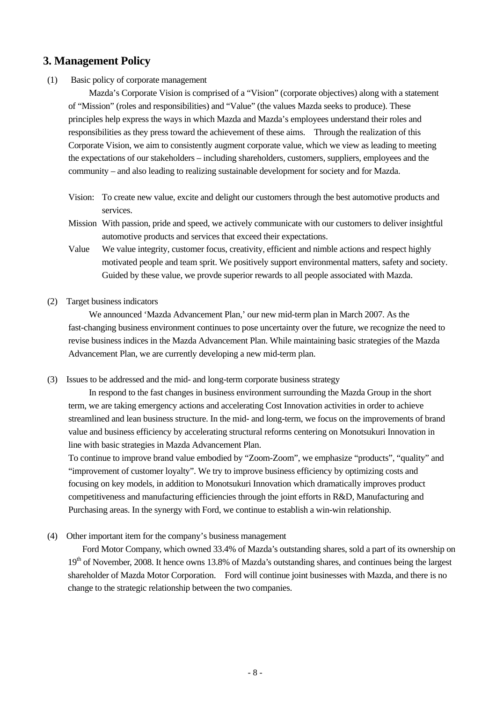# **3. Management Policy**

(1) Basic policy of corporate management

Mazda's Corporate Vision is comprised of a "Vision" (corporate objectives) along with a statement of "Mission" (roles and responsibilities) and "Value" (the values Mazda seeks to produce). These principles help express the ways in which Mazda and Mazda's employees understand their roles and responsibilities as they press toward the achievement of these aims. Through the realization of this Corporate Vision, we aim to consistently augment corporate value, which we view as leading to meeting the expectations of our stakeholders – including shareholders, customers, suppliers, employees and the community – and also leading to realizing sustainable development for society and for Mazda.

- Vision: To create new value, excite and delight our customers through the best automotive products and services.
- Mission With passion, pride and speed, we actively communicate with our customers to deliver insightful automotive products and services that exceed their expectations.
- Value We value integrity, customer focus, creativity, efficient and nimble actions and respect highly motivated people and team sprit. We positively support environmental matters, safety and society. Guided by these value, we provde superior rewards to all people associated with Mazda.
- (2) Target business indicators

We announced 'Mazda Advancement Plan,' our new mid-term plan in March 2007. As the fast-changing business environment continues to pose uncertainty over the future, we recognize the need to revise business indices in the Mazda Advancement Plan. While maintaining basic strategies of the Mazda Advancement Plan, we are currently developing a new mid-term plan.

(3) Issues to be addressed and the mid- and long-term corporate business strategy

In respond to the fast changes in business environment surrounding the Mazda Group in the short term, we are taking emergency actions and accelerating Cost Innovation activities in order to achieve streamlined and lean business structure. In the mid- and long-term, we focus on the improvements of brand value and business efficiency by accelerating structural reforms centering on Monotsukuri Innovation in line with basic strategies in Mazda Advancement Plan.

To continue to improve brand value embodied by "Zoom-Zoom", we emphasize "products", "quality" and "improvement of customer loyalty". We try to improve business efficiency by optimizing costs and focusing on key models, in addition to Monotsukuri Innovation which dramatically improves product competitiveness and manufacturing efficiencies through the joint efforts in R&D, Manufacturing and Purchasing areas. In the synergy with Ford, we continue to establish a win-win relationship.

(4) Other important item for the company's business management

Ford Motor Company, which owned 33.4% of Mazda's outstanding shares, sold a part of its ownership on 19<sup>th</sup> of November, 2008. It hence owns 13.8% of Mazda's outstanding shares, and continues being the largest shareholder of Mazda Motor Corporation. Ford will continue joint businesses with Mazda, and there is no change to the strategic relationship between the two companies.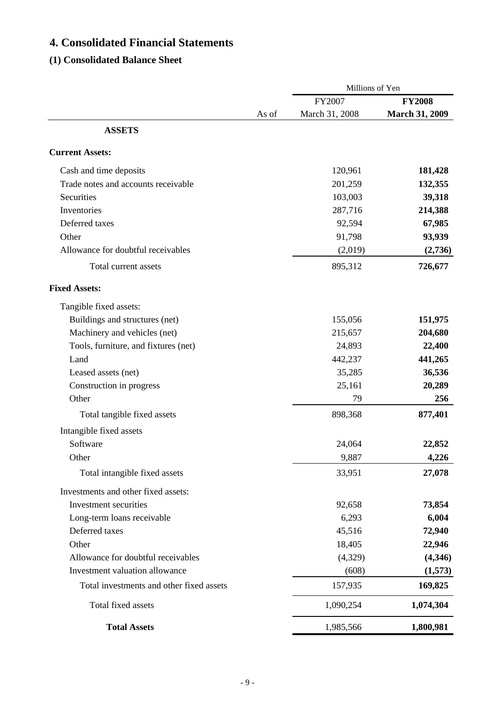# **4. Consolidated Financial Statements**

# **(1) Consolidated Balance Sheet**

|                                          |       | Millions of Yen |                       |  |
|------------------------------------------|-------|-----------------|-----------------------|--|
|                                          |       | FY2007          | <b>FY2008</b>         |  |
|                                          | As of | March 31, 2008  | <b>March 31, 2009</b> |  |
| <b>ASSETS</b>                            |       |                 |                       |  |
| <b>Current Assets:</b>                   |       |                 |                       |  |
| Cash and time deposits                   |       | 120,961         | 181,428               |  |
| Trade notes and accounts receivable      |       | 201,259         | 132,355               |  |
| Securities                               |       | 103,003         | 39,318                |  |
| Inventories                              |       | 287,716         | 214,388               |  |
| Deferred taxes                           |       | 92,594          | 67,985                |  |
| Other                                    |       | 91,798          | 93,939                |  |
| Allowance for doubtful receivables       |       | (2,019)         | (2,736)               |  |
| Total current assets                     |       | 895,312         | 726,677               |  |
| <b>Fixed Assets:</b>                     |       |                 |                       |  |
| Tangible fixed assets:                   |       |                 |                       |  |
| Buildings and structures (net)           |       | 155,056         | 151,975               |  |
| Machinery and vehicles (net)             |       | 215,657         | 204,680               |  |
| Tools, furniture, and fixtures (net)     |       | 24,893          | 22,400                |  |
| Land                                     |       | 442,237         | 441,265               |  |
| Leased assets (net)                      |       | 35,285          | 36,536                |  |
| Construction in progress                 |       | 25,161          | 20,289                |  |
| Other                                    |       | 79              | 256                   |  |
| Total tangible fixed assets              |       | 898,368         | 877,401               |  |
| Intangible fixed assets                  |       |                 |                       |  |
| Software                                 |       | 24,064          | 22,852                |  |
| Other                                    |       | 9,887           | 4,226                 |  |
| Total intangible fixed assets            |       | 33,951          | 27,078                |  |
| Investments and other fixed assets:      |       |                 |                       |  |
| Investment securities                    |       | 92,658          | 73,854                |  |
| Long-term loans receivable               |       | 6,293           | 6,004                 |  |
| Deferred taxes                           |       | 45,516          | 72,940                |  |
| Other                                    |       | 18,405          | 22,946                |  |
| Allowance for doubtful receivables       |       | (4,329)         | (4,346)               |  |
| Investment valuation allowance           |       | (608)           | (1,573)               |  |
| Total investments and other fixed assets |       | 157,935         | 169,825               |  |
| Total fixed assets                       |       | 1,090,254       | 1,074,304             |  |
| <b>Total Assets</b>                      |       | 1,985,566       | 1,800,981             |  |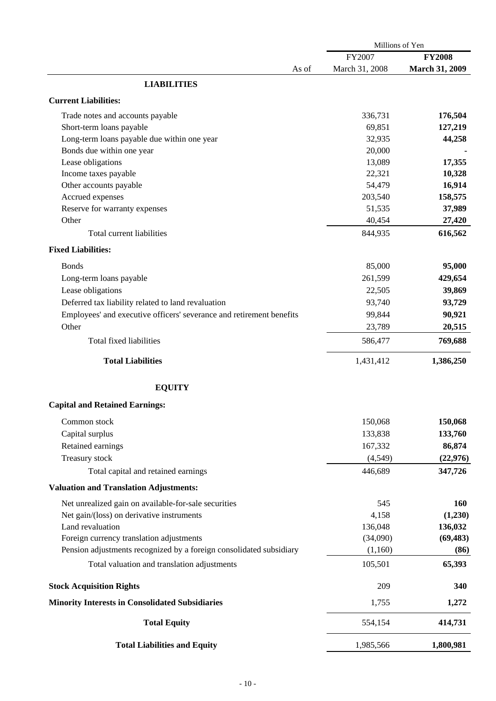|                                                                      | Millions of Yen   |                       |  |  |
|----------------------------------------------------------------------|-------------------|-----------------------|--|--|
|                                                                      | FY2007            | <b>FY2008</b>         |  |  |
| As of                                                                | March 31, 2008    | <b>March 31, 2009</b> |  |  |
| <b>LIABILITIES</b>                                                   |                   |                       |  |  |
| <b>Current Liabilities:</b>                                          |                   |                       |  |  |
|                                                                      |                   |                       |  |  |
| Trade notes and accounts payable                                     | 336,731<br>69,851 | 176,504               |  |  |
| Short-term loans payable                                             |                   | 127,219               |  |  |
| Long-term loans payable due within one year                          | 32,935            | 44,258                |  |  |
| Bonds due within one year                                            | 20,000            |                       |  |  |
| Lease obligations                                                    | 13,089            | 17,355                |  |  |
| Income taxes payable                                                 | 22,321            | 10,328                |  |  |
| Other accounts payable                                               | 54,479            | 16,914                |  |  |
| Accrued expenses                                                     | 203,540           | 158,575               |  |  |
| Reserve for warranty expenses                                        | 51,535            | 37,989                |  |  |
| Other                                                                | 40,454            | 27,420                |  |  |
| Total current liabilities                                            | 844,935           | 616,562               |  |  |
| <b>Fixed Liabilities:</b>                                            |                   |                       |  |  |
| <b>Bonds</b>                                                         | 85,000            | 95,000                |  |  |
| Long-term loans payable                                              | 261,599           | 429,654               |  |  |
| Lease obligations                                                    | 22,505            | 39,869                |  |  |
| Deferred tax liability related to land revaluation                   | 93,740            | 93,729                |  |  |
|                                                                      |                   |                       |  |  |
| Employees' and executive officers' severance and retirement benefits | 99,844            | 90,921                |  |  |
| Other                                                                | 23,789            | 20,515                |  |  |
| <b>Total fixed liabilities</b>                                       | 586,477           | 769,688               |  |  |
| <b>Total Liabilities</b>                                             | 1,431,412         | 1,386,250             |  |  |
| <b>EQUITY</b>                                                        |                   |                       |  |  |
| <b>Capital and Retained Earnings:</b>                                |                   |                       |  |  |
| Common stock                                                         | 150,068           | 150,068               |  |  |
|                                                                      |                   |                       |  |  |
| Capital surplus                                                      | 133,838           | 133,760               |  |  |
| Retained earnings                                                    | 167,332           | 86,874                |  |  |
| Treasury stock                                                       | (4, 549)          | (22, 976)             |  |  |
| Total capital and retained earnings                                  | 446,689           | 347,726               |  |  |
| <b>Valuation and Translation Adjustments:</b>                        |                   |                       |  |  |
| Net unrealized gain on available-for-sale securities                 | 545               | <b>160</b>            |  |  |
| Net gain/(loss) on derivative instruments                            | 4,158             | (1,230)               |  |  |
| Land revaluation                                                     | 136,048           | 136,032               |  |  |
| Foreign currency translation adjustments                             | (34,090)          | (69, 483)             |  |  |
| Pension adjustments recognized by a foreign consolidated subsidiary  | (1,160)           | (86)                  |  |  |
| Total valuation and translation adjustments                          | 105,501           | 65,393                |  |  |
|                                                                      |                   |                       |  |  |
| <b>Stock Acquisition Rights</b>                                      | 209               | 340                   |  |  |
| <b>Minority Interests in Consolidated Subsidiaries</b>               | 1,755             | 1,272                 |  |  |
| <b>Total Equity</b>                                                  | 554,154           | 414,731               |  |  |
| <b>Total Liabilities and Equity</b>                                  | 1,985,566         | 1,800,981             |  |  |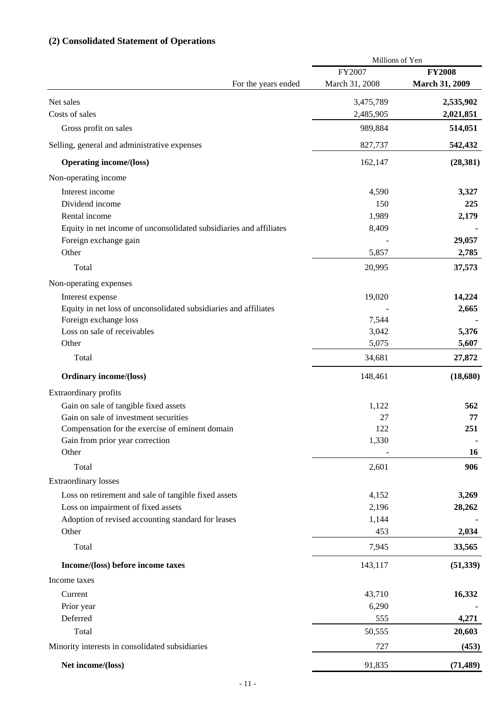# **(2) Consolidated Statement of Operations**

|                                                                    | Millions of Yen |                       |
|--------------------------------------------------------------------|-----------------|-----------------------|
|                                                                    | FY2007          | <b>FY2008</b>         |
| For the years ended                                                | March 31, 2008  | <b>March 31, 2009</b> |
| Net sales                                                          | 3,475,789       | 2,535,902             |
| Costs of sales                                                     | 2,485,905       | 2,021,851             |
| Gross profit on sales                                              | 989,884         | 514,051               |
| Selling, general and administrative expenses                       | 827,737         | 542,432               |
| <b>Operating income/(loss)</b>                                     | 162,147         | (28, 381)             |
| Non-operating income                                               |                 |                       |
| Interest income                                                    | 4,590           | 3,327                 |
| Dividend income                                                    | 150             | 225                   |
| Rental income                                                      | 1,989           | 2,179                 |
| Equity in net income of unconsolidated subsidiaries and affiliates | 8,409           |                       |
| Foreign exchange gain                                              |                 | 29,057                |
| Other                                                              | 5,857           | 2,785                 |
|                                                                    |                 |                       |
| Total                                                              | 20,995          | 37,573                |
| Non-operating expenses                                             |                 |                       |
| Interest expense                                                   | 19,020          | 14,224                |
| Equity in net loss of unconsolidated subsidiaries and affiliates   |                 | 2,665                 |
| Foreign exchange loss                                              | 7,544           |                       |
| Loss on sale of receivables                                        | 3,042           | 5,376                 |
| Other                                                              | 5,075           | 5,607                 |
| Total                                                              | 34,681          | 27,872                |
| <b>Ordinary income/(loss)</b>                                      | 148,461         | (18,680)              |
| Extraordinary profits                                              |                 |                       |
| Gain on sale of tangible fixed assets                              | 1,122           | 562                   |
| Gain on sale of investment securities                              | 27              | 77                    |
| Compensation for the exercise of eminent domain                    | 122             | 251                   |
| Gain from prior year correction                                    | 1,330           |                       |
| Other                                                              |                 | <b>16</b>             |
| Total                                                              | 2,601           | 906                   |
| <b>Extraordinary losses</b>                                        |                 |                       |
| Loss on retirement and sale of tangible fixed assets               | 4,152           | 3,269                 |
| Loss on impairment of fixed assets                                 | 2,196           | 28,262                |
| Adoption of revised accounting standard for leases                 | 1,144           |                       |
| Other                                                              | 453             | 2,034                 |
| Total                                                              | 7,945           | 33,565                |
| Income/(loss) before income taxes                                  | 143,117         | (51, 339)             |
| Income taxes                                                       |                 |                       |
| Current                                                            | 43,710          | 16,332                |
| Prior year                                                         | 6,290           |                       |
| Deferred                                                           | 555             | 4,271                 |
| Total                                                              | 50,555          | 20,603                |
| Minority interests in consolidated subsidiaries                    | 727             | (453)                 |
|                                                                    |                 |                       |
| Net income/(loss)                                                  | 91,835          | (71, 489)             |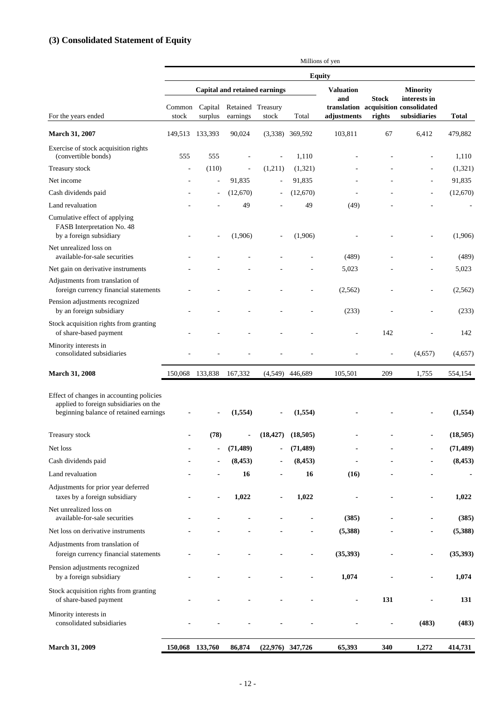# **(3) Consolidated Statement of Equity**

|                                                                                                                              | Millions of yen |         |                                       |                                      |                   |                         |              |                                                      |              |
|------------------------------------------------------------------------------------------------------------------------------|-----------------|---------|---------------------------------------|--------------------------------------|-------------------|-------------------------|--------------|------------------------------------------------------|--------------|
|                                                                                                                              | <b>Equity</b>   |         |                                       |                                      |                   |                         |              |                                                      |              |
|                                                                                                                              |                 |         |                                       | <b>Capital and retained earnings</b> |                   | <b>Valuation</b><br>and | <b>Stock</b> | <b>Minority</b><br>interests in                      |              |
| For the years ended                                                                                                          | Common<br>stock | surplus | Capital Retained Treasury<br>earnings | stock                                | Total             | adjustments             | rights       | translation acquisition consolidated<br>subsidiaries | <b>Total</b> |
| March 31, 2007                                                                                                               | 149,513 133,393 |         | 90,024                                |                                      | $(3,338)$ 369,592 | 103,811                 | 67           | 6,412                                                | 479,882      |
| Exercise of stock acquisition rights<br>(convertible bonds)                                                                  | 555             | 555     |                                       |                                      | 1.110             |                         |              |                                                      | 1,110        |
| Treasury stock                                                                                                               |                 | (110)   |                                       | (1,211)                              | (1,321)           |                         |              |                                                      | (1,321)      |
| Net income                                                                                                                   |                 |         | 91,835                                | ÷,                                   | 91,835            |                         |              | $\sim$                                               | 91,835       |
| Cash dividends paid                                                                                                          |                 |         | (12,670)                              |                                      | (12,670)          |                         |              |                                                      | (12,670)     |
| Land revaluation                                                                                                             |                 |         | 49                                    |                                      | 49                | (49)                    |              |                                                      |              |
| Cumulative effect of applying<br>FASB Interpretation No. 48<br>by a foreign subsidiary                                       |                 |         | (1,906)                               |                                      | (1,906)           |                         |              |                                                      | (1,906)      |
| Net unrealized loss on<br>available-for-sale securities                                                                      |                 |         |                                       |                                      |                   | (489)                   |              |                                                      | (489)        |
| Net gain on derivative instruments                                                                                           |                 |         |                                       |                                      |                   | 5,023                   |              |                                                      | 5,023        |
| Adjustments from translation of<br>foreign currency financial statements                                                     |                 |         |                                       |                                      |                   | (2,562)                 |              |                                                      | (2,562)      |
| Pension adjustments recognized<br>by an foreign subsidiary                                                                   |                 |         |                                       |                                      |                   | (233)                   |              |                                                      | (233)        |
| Stock acquisition rights from granting<br>of share-based payment                                                             |                 |         |                                       |                                      |                   |                         | 142          |                                                      | 142          |
| Minority interests in<br>consolidated subsidiaries                                                                           |                 |         |                                       |                                      |                   |                         |              | (4,657)                                              | (4,657)      |
| <b>March 31, 2008</b>                                                                                                        | 150,068 133,838 |         | 167,332                               |                                      | $(4,549)$ 446,689 | 105,501                 | 209          | 1,755                                                | 554,154      |
| Effect of changes in accounting policies<br>applied to foreign subsidiaries on the<br>beginning balance of retained earnings |                 |         | (1,554)                               |                                      | (1,554)           |                         |              |                                                      | (1,554)      |
| Treasury stock                                                                                                               |                 | (78)    | $\overline{\phantom{a}}$              | (18, 427)                            | (18,505)          |                         |              |                                                      | (18, 505)    |
| Net loss                                                                                                                     |                 |         | (71, 489)                             |                                      | (71, 489)         |                         |              |                                                      | (71, 489)    |
| Cash dividends paid                                                                                                          |                 |         | (8, 453)                              |                                      | (8, 453)          |                         |              |                                                      | (8, 453)     |
| Land revaluation                                                                                                             |                 |         | 16                                    |                                      | 16                | (16)                    |              |                                                      |              |
| Adjustments for prior year deferred<br>taxes by a foreign subsidiary                                                         |                 |         | 1,022                                 |                                      | 1,022             |                         |              | $\blacksquare$                                       | 1,022        |
| Net unrealized loss on<br>available-for-sale securities                                                                      |                 |         |                                       |                                      |                   | (385)                   |              |                                                      | (385)        |
| Net loss on derivative instruments                                                                                           |                 |         |                                       |                                      |                   | (5,388)                 |              |                                                      | (5,388)      |
| Adjustments from translation of<br>foreign currency financial statements                                                     |                 |         |                                       |                                      |                   | (35, 393)               |              |                                                      | (35, 393)    |
| Pension adjustments recognized<br>by a foreign subsidiary                                                                    |                 |         |                                       |                                      |                   | 1,074                   |              |                                                      | 1,074        |
| Stock acquisition rights from granting<br>of share-based payment                                                             |                 |         |                                       |                                      |                   | $\blacksquare$          | 131          |                                                      | 131          |
| Minority interests in<br>consolidated subsidiaries                                                                           |                 |         |                                       |                                      |                   |                         |              | (483)                                                | (483)        |
| <b>March 31, 2009</b>                                                                                                        | 150,068 133,760 |         | 86,874                                | $(22,976)$ 347,726                   |                   | 65,393                  | 340          | 1,272                                                | 414,731      |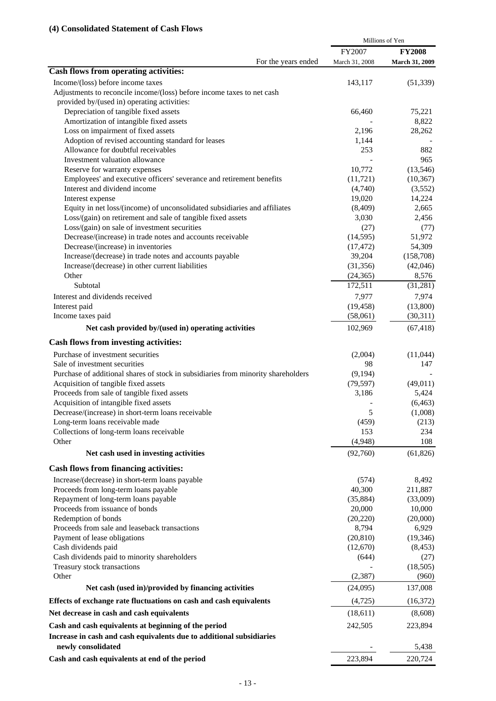|                                                                                   |                | Millions of Yen |
|-----------------------------------------------------------------------------------|----------------|-----------------|
|                                                                                   | FY2007         | <b>FY2008</b>   |
| For the years ended                                                               | March 31, 2008 | March 31, 2009  |
| Cash flows from operating activities:                                             |                |                 |
| Income/(loss) before income taxes                                                 | 143,117        | (51, 339)       |
| Adjustments to reconcile income/(loss) before income taxes to net cash            |                |                 |
| provided by/(used in) operating activities:                                       |                |                 |
| Depreciation of tangible fixed assets                                             | 66,460         | 75,221          |
| Amortization of intangible fixed assets                                           |                | 8,822           |
| Loss on impairment of fixed assets                                                | 2,196          | 28,262          |
| Adoption of revised accounting standard for leases                                | 1,144          |                 |
| Allowance for doubtful receivables                                                | 253            | 882             |
| Investment valuation allowance                                                    |                | 965             |
| Reserve for warranty expenses                                                     | 10,772         | (13, 546)       |
| Employees' and executive officers' severance and retirement benefits              | (11, 721)      | (10, 367)       |
| Interest and dividend income                                                      | (4,740)        | (3,552)         |
| Interest expense                                                                  | 19,020         | 14,224          |
| Equity in net loss/(income) of unconsolidated subsidiaries and affiliates         | (8,409)        | 2,665           |
| Loss/(gain) on retirement and sale of tangible fixed assets                       | 3,030          | 2,456           |
| Loss/(gain) on sale of investment securities                                      | (27)           | (77)            |
| Decrease/(increase) in trade notes and accounts receivable                        | (14, 595)      | 51,972          |
| Decrease/(increase) in inventories                                                | (17, 472)      | 54,309          |
| Increase/(decrease) in trade notes and accounts payable                           | 39,204         | (158,708)       |
| Increase/(decrease) in other current liabilities                                  | (31, 356)      | (42,046)        |
| Other                                                                             | (24, 365)      | 8,576           |
| Subtotal                                                                          | 172,511        | (31,281)        |
| Interest and dividends received                                                   | 7,977          | 7,974           |
| Interest paid                                                                     | (19, 458)      | (13,800)        |
| Income taxes paid                                                                 | (58,061)       | (30,311)        |
| Net cash provided by/(used in) operating activities                               | 102,969        | (67, 418)       |
|                                                                                   |                |                 |
| <b>Cash flows from investing activities:</b>                                      |                |                 |
| Purchase of investment securities                                                 | (2,004)        | (11,044)        |
| Sale of investment securities                                                     | 98             | 147             |
| Purchase of additional shares of stock in subsidiaries from minority shareholders | (9,194)        |                 |
| Acquisition of tangible fixed assets                                              | (79, 597)      | (49,011)        |
| Proceeds from sale of tangible fixed assets                                       | 3,186          | 5,424           |
| Acquisition of intangible fixed assets                                            |                | (6, 463)        |
| Decrease/(increase) in short-term loans receivable                                | 5              | (1,008)         |
| Long-term loans receivable made                                                   | (459)          | (213)           |
| Collections of long-term loans receivable                                         | 153            | 234             |
| Other                                                                             | (4,948)        | 108             |
| Net cash used in investing activities                                             | (92,760)       | (61, 826)       |
| <b>Cash flows from financing activities:</b>                                      |                |                 |
| Increase/(decrease) in short-term loans payable                                   | (574)          | 8,492           |
| Proceeds from long-term loans payable                                             | 40,300         | 211,887         |
| Repayment of long-term loans payable                                              | (35, 884)      | (33,009)        |
| Proceeds from issuance of bonds                                                   | 20,000         | 10,000          |
| Redemption of bonds                                                               | (20, 220)      | (20,000)        |
| Proceeds from sale and leaseback transactions                                     | 8,794          | 6,929           |
| Payment of lease obligations                                                      | (20, 810)      | (19, 346)       |
| Cash dividends paid                                                               | (12,670)       | (8, 453)        |
| Cash dividends paid to minority shareholders                                      | (644)          | (27)            |
| Treasury stock transactions                                                       |                | (18,505)        |
| Other                                                                             | (2, 387)       | (960)           |
| Net cash (used in)/provided by financing activities                               | (24,095)       | 137,008         |
| Effects of exchange rate fluctuations on cash and cash equivalents                | (4, 725)       | (16,372)        |
| Net decrease in cash and cash equivalents                                         | (18,611)       | (8,608)         |
| Cash and cash equivalents at beginning of the period                              | 242,505        | 223,894         |
| Increase in cash and cash equivalents due to additional subsidiaries              |                |                 |
| newly consolidated                                                                |                | 5,438           |
| Cash and cash equivalents at end of the period                                    | 223,894        | 220,724         |
|                                                                                   |                |                 |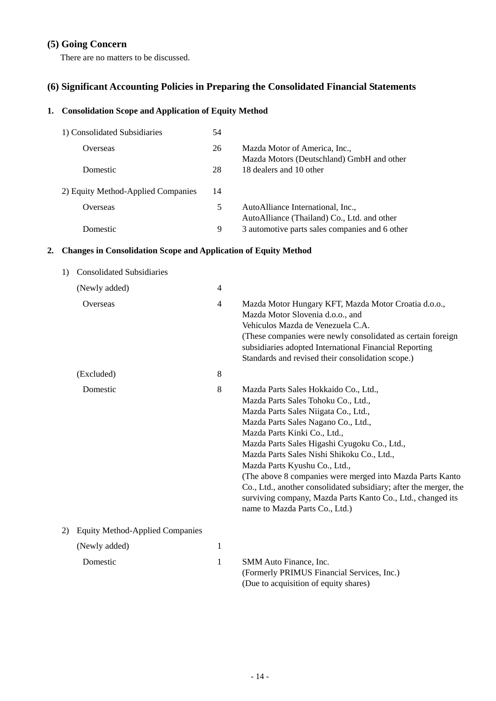# **(5) Going Concern**

There are no matters to be discussed.

# **(6) Significant Accounting Policies in Preparing the Consolidated Financial Statements**

# **1. Consolidation Scope and Application of Equity Method**

| 1) Consolidated Subsidiaries       | 54 |                                                                                  |
|------------------------------------|----|----------------------------------------------------------------------------------|
| Overseas                           | 26 | Mazda Motor of America, Inc.,<br>Mazda Motors (Deutschland) GmbH and other       |
| Domestic                           | 28 | 18 dealers and 10 other                                                          |
| 2) Equity Method-Applied Companies | 14 |                                                                                  |
| Overseas                           | 5  | AutoAlliance International, Inc.,<br>AutoAlliance (Thailand) Co., Ltd. and other |
| Domestic                           | 9  | 3 automotive parts sales companies and 6 other                                   |

# **2. Changes in Consolidation Scope and Application of Equity Method**

| 1) | <b>Consolidated Subsidiaries</b>       |                |                                                                                                                                                                                                                                                                                                                                                                                                                                                                                                                                                               |  |  |
|----|----------------------------------------|----------------|---------------------------------------------------------------------------------------------------------------------------------------------------------------------------------------------------------------------------------------------------------------------------------------------------------------------------------------------------------------------------------------------------------------------------------------------------------------------------------------------------------------------------------------------------------------|--|--|
|    | (Newly added)                          |                |                                                                                                                                                                                                                                                                                                                                                                                                                                                                                                                                                               |  |  |
|    | Overseas                               | $\overline{4}$ | Mazda Motor Hungary KFT, Mazda Motor Croatia d.o.o.,<br>Mazda Motor Slovenia d.o.o., and<br>Vehiculos Mazda de Venezuela C.A.<br>(These companies were newly consolidated as certain foreign<br>subsidiaries adopted International Financial Reporting<br>Standards and revised their consolidation scope.)                                                                                                                                                                                                                                                   |  |  |
|    | (Excluded)                             | 8              |                                                                                                                                                                                                                                                                                                                                                                                                                                                                                                                                                               |  |  |
|    | Domestic                               | 8              | Mazda Parts Sales Hokkaido Co., Ltd.,<br>Mazda Parts Sales Tohoku Co., Ltd.,<br>Mazda Parts Sales Niigata Co., Ltd.,<br>Mazda Parts Sales Nagano Co., Ltd.,<br>Mazda Parts Kinki Co., Ltd.,<br>Mazda Parts Sales Higashi Cyugoku Co., Ltd.,<br>Mazda Parts Sales Nishi Shikoku Co., Ltd.,<br>Mazda Parts Kyushu Co., Ltd.,<br>(The above 8 companies were merged into Mazda Parts Kanto<br>Co., Ltd., another consolidated subsidiary; after the merger, the<br>surviving company, Mazda Parts Kanto Co., Ltd., changed its<br>name to Mazda Parts Co., Ltd.) |  |  |
| 2) | <b>Equity Method-Applied Companies</b> |                |                                                                                                                                                                                                                                                                                                                                                                                                                                                                                                                                                               |  |  |
|    | $\mathbf{1}$<br>(Newly added)          |                |                                                                                                                                                                                                                                                                                                                                                                                                                                                                                                                                                               |  |  |
|    | Domestic                               | 1              | SMM Auto Finance, Inc.<br>(Formerly PRIMUS Financial Services, Inc.)<br>(Due to acquisition of equity shares)                                                                                                                                                                                                                                                                                                                                                                                                                                                 |  |  |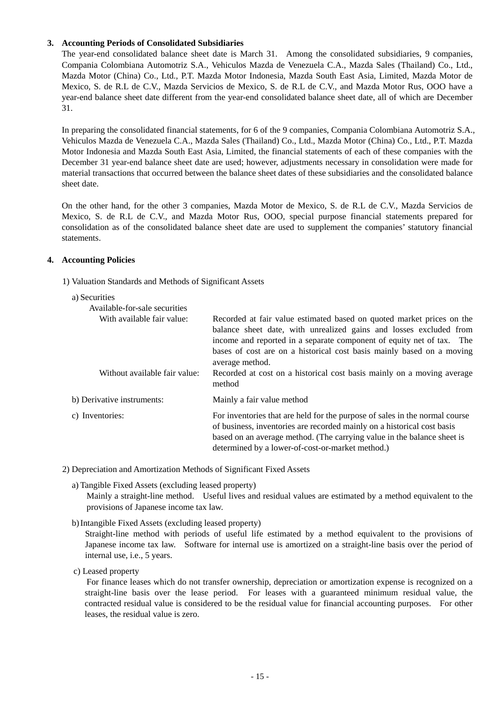## **3. Accounting Periods of Consolidated Subsidiaries**

The year-end consolidated balance sheet date is March 31. Among the consolidated subsidiaries, 9 companies, Compania Colombiana Automotriz S.A., Vehiculos Mazda de Venezuela C.A., Mazda Sales (Thailand) Co., Ltd., Mazda Motor (China) Co., Ltd., P.T. Mazda Motor Indonesia, Mazda South East Asia, Limited, Mazda Motor de Mexico, S. de R.L de C.V., Mazda Servicios de Mexico, S. de R.L de C.V., and Mazda Motor Rus, OOO have a year-end balance sheet date different from the year-end consolidated balance sheet date, all of which are December 31.

In preparing the consolidated financial statements, for 6 of the 9 companies, Compania Colombiana Automotriz S.A., Vehiculos Mazda de Venezuela C.A., Mazda Sales (Thailand) Co., Ltd., Mazda Motor (China) Co., Ltd., P.T. Mazda Motor Indonesia and Mazda South East Asia, Limited, the financial statements of each of these companies with the December 31 year-end balance sheet date are used; however, adjustments necessary in consolidation were made for material transactions that occurred between the balance sheet dates of these subsidiaries and the consolidated balance sheet date.

On the other hand, for the other 3 companies, Mazda Motor de Mexico, S. de R.L de C.V., Mazda Servicios de Mexico, S. de R.L de C.V., and Mazda Motor Rus, OOO, special purpose financial statements prepared for consolidation as of the consolidated balance sheet date are used to supplement the companies' statutory financial statements.

### **4. Accounting Policies**

1) Valuation Standards and Methods of Significant Assets

#### a) Securities

| Available-for-sale securities                               |                                                                                                                                                                                                                                                                                                                                                                                                      |
|-------------------------------------------------------------|------------------------------------------------------------------------------------------------------------------------------------------------------------------------------------------------------------------------------------------------------------------------------------------------------------------------------------------------------------------------------------------------------|
| With available fair value:<br>Without available fair value: | Recorded at fair value estimated based on quoted market prices on the<br>balance sheet date, with unrealized gains and losses excluded from<br>income and reported in a separate component of equity net of tax. The<br>bases of cost are on a historical cost basis mainly based on a moving<br>average method.<br>Recorded at cost on a historical cost basis mainly on a moving average<br>method |
| b) Derivative instruments:                                  | Mainly a fair value method                                                                                                                                                                                                                                                                                                                                                                           |
|                                                             |                                                                                                                                                                                                                                                                                                                                                                                                      |
| c) Inventories:                                             | For inventories that are held for the purpose of sales in the normal course<br>of business, inventories are recorded mainly on a historical cost basis<br>based on an average method. (The carrying value in the balance sheet is<br>determined by a lower-of-cost-or-market method.)                                                                                                                |
|                                                             |                                                                                                                                                                                                                                                                                                                                                                                                      |

2) Depreciation and Amortization Methods of Significant Fixed Assets

a) Tangible Fixed Assets (excluding leased property)

Mainly a straight-line method. Useful lives and residual values are estimated by a method equivalent to the provisions of Japanese income tax law.

b)Intangible Fixed Assets (excluding leased property)

Straight-line method with periods of useful life estimated by a method equivalent to the provisions of Japanese income tax law. Software for internal use is amortized on a straight-line basis over the period of internal use, i.e., 5 years.

c) Leased property

 For finance leases which do not transfer ownership, depreciation or amortization expense is recognized on a straight-line basis over the lease period. For leases with a guaranteed minimum residual value, the contracted residual value is considered to be the residual value for financial accounting purposes. For other leases, the residual value is zero.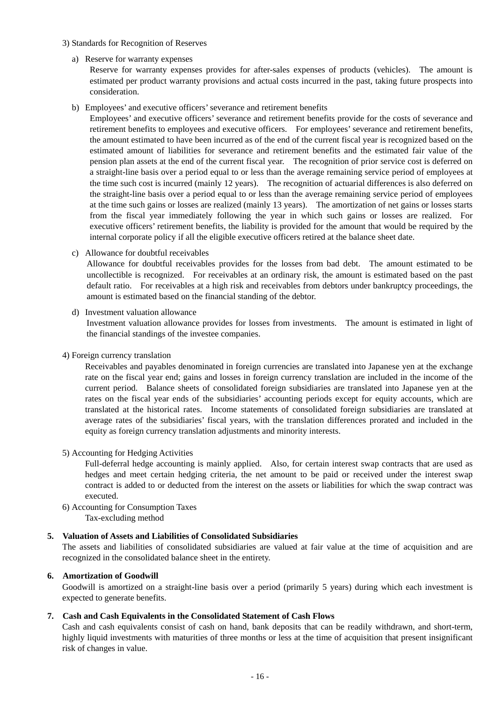- 3) Standards for Recognition of Reserves
	- a) Reserve for warranty expenses

Reserve for warranty expenses provides for after-sales expenses of products (vehicles). The amount is estimated per product warranty provisions and actual costs incurred in the past, taking future prospects into consideration.

b) Employees' and executive officers' severance and retirement benefits

Employees' and executive officers' severance and retirement benefits provide for the costs of severance and retirement benefits to employees and executive officers. For employees' severance and retirement benefits, the amount estimated to have been incurred as of the end of the current fiscal year is recognized based on the estimated amount of liabilities for severance and retirement benefits and the estimated fair value of the pension plan assets at the end of the current fiscal year. The recognition of prior service cost is deferred on a straight-line basis over a period equal to or less than the average remaining service period of employees at the time such cost is incurred (mainly 12 years). The recognition of actuarial differences is also deferred on the straight-line basis over a period equal to or less than the average remaining service period of employees at the time such gains or losses are realized (mainly 13 years). The amortization of net gains or losses starts from the fiscal year immediately following the year in which such gains or losses are realized. For executive officers' retirement benefits, the liability is provided for the amount that would be required by the internal corporate policy if all the eligible executive officers retired at the balance sheet date.

c) Allowance for doubtful receivables

Allowance for doubtful receivables provides for the losses from bad debt. The amount estimated to be uncollectible is recognized. For receivables at an ordinary risk, the amount is estimated based on the past default ratio. For receivables at a high risk and receivables from debtors under bankruptcy proceedings, the amount is estimated based on the financial standing of the debtor.

d) Investment valuation allowance

Investment valuation allowance provides for losses from investments. The amount is estimated in light of the financial standings of the investee companies.

4) Foreign currency translation

Receivables and payables denominated in foreign currencies are translated into Japanese yen at the exchange rate on the fiscal year end; gains and losses in foreign currency translation are included in the income of the current period. Balance sheets of consolidated foreign subsidiaries are translated into Japanese yen at the rates on the fiscal year ends of the subsidiaries' accounting periods except for equity accounts, which are translated at the historical rates. Income statements of consolidated foreign subsidiaries are translated at average rates of the subsidiaries' fiscal years, with the translation differences prorated and included in the equity as foreign currency translation adjustments and minority interests.

5) Accounting for Hedging Activities

Full-deferral hedge accounting is mainly applied. Also, for certain interest swap contracts that are used as hedges and meet certain hedging criteria, the net amount to be paid or received under the interest swap contract is added to or deducted from the interest on the assets or liabilities for which the swap contract was executed.

6) Accounting for Consumption Taxes Tax-excluding method

# **5. Valuation of Assets and Liabilities of Consolidated Subsidiaries**

The assets and liabilities of consolidated subsidiaries are valued at fair value at the time of acquisition and are recognized in the consolidated balance sheet in the entirety.

## **6. Amortization of Goodwill**

Goodwill is amortized on a straight-line basis over a period (primarily 5 years) during which each investment is expected to generate benefits.

## **7. Cash and Cash Equivalents in the Consolidated Statement of Cash Flows**

Cash and cash equivalents consist of cash on hand, bank deposits that can be readily withdrawn, and short-term, highly liquid investments with maturities of three months or less at the time of acquisition that present insignificant risk of changes in value.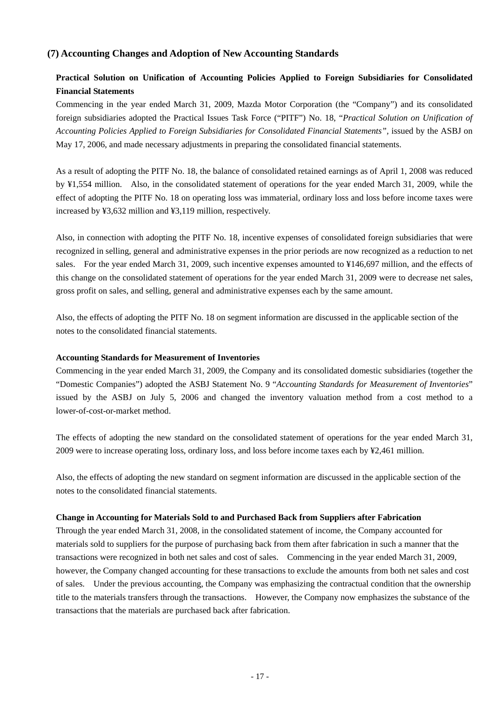# **(7) Accounting Changes and Adoption of New Accounting Standards**

# **Practical Solution on Unification of Accounting Policies Applied to Foreign Subsidiaries for Consolidated Financial Statements**

Commencing in the year ended March 31, 2009, Mazda Motor Corporation (the "Company") and its consolidated foreign subsidiaries adopted the Practical Issues Task Force ("PITF") No. 18, "*Practical Solution on Unification of Accounting Policies Applied to Foreign Subsidiaries for Consolidated Financial Statements",* issued by the ASBJ on May 17, 2006, and made necessary adjustments in preparing the consolidated financial statements.

As a result of adopting the PITF No. 18, the balance of consolidated retained earnings as of April 1, 2008 was reduced by ¥1,554 million. Also, in the consolidated statement of operations for the year ended March 31, 2009, while the effect of adopting the PITF No. 18 on operating loss was immaterial, ordinary loss and loss before income taxes were increased by ¥3,632 million and ¥3,119 million, respectively.

Also, in connection with adopting the PITF No. 18, incentive expenses of consolidated foreign subsidiaries that were recognized in selling, general and administrative expenses in the prior periods are now recognized as a reduction to net sales. For the year ended March 31, 2009, such incentive expenses amounted to ¥146,697 million, and the effects of this change on the consolidated statement of operations for the year ended March 31, 2009 were to decrease net sales, gross profit on sales, and selling, general and administrative expenses each by the same amount.

Also, the effects of adopting the PITF No. 18 on segment information are discussed in the applicable section of the notes to the consolidated financial statements.

#### **Accounting Standards for Measurement of Inventories**

Commencing in the year ended March 31, 2009, the Company and its consolidated domestic subsidiaries (together the "Domestic Companies") adopted the ASBJ Statement No. 9 "*Accounting Standards for Measurement of Inventories*" issued by the ASBJ on July 5, 2006 and changed the inventory valuation method from a cost method to a lower-of-cost-or-market method.

The effects of adopting the new standard on the consolidated statement of operations for the year ended March 31, 2009 were to increase operating loss, ordinary loss, and loss before income taxes each by ¥2,461 million.

Also, the effects of adopting the new standard on segment information are discussed in the applicable section of the notes to the consolidated financial statements.

#### **Change in Accounting for Materials Sold to and Purchased Back from Suppliers after Fabrication**

Through the year ended March 31, 2008, in the consolidated statement of income, the Company accounted for materials sold to suppliers for the purpose of purchasing back from them after fabrication in such a manner that the transactions were recognized in both net sales and cost of sales. Commencing in the year ended March 31, 2009, however, the Company changed accounting for these transactions to exclude the amounts from both net sales and cost of sales. Under the previous accounting, the Company was emphasizing the contractual condition that the ownership title to the materials transfers through the transactions. However, the Company now emphasizes the substance of the transactions that the materials are purchased back after fabrication.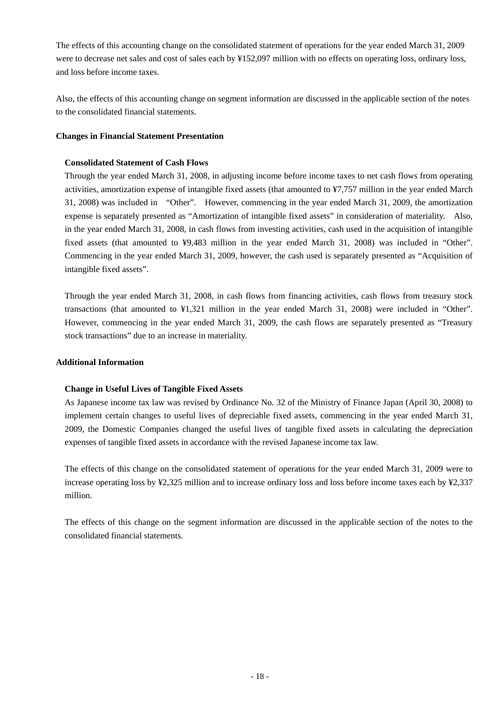The effects of this accounting change on the consolidated statement of operations for the year ended March 31, 2009 were to decrease net sales and cost of sales each by ¥152,097 million with no effects on operating loss, ordinary loss, and loss before income taxes.

Also, the effects of this accounting change on segment information are discussed in the applicable section of the notes to the consolidated financial statements.

# **Changes in Financial Statement Presentation**

# **Consolidated Statement of Cash Flows**

Through the year ended March 31, 2008, in adjusting income before income taxes to net cash flows from operating activities, amortization expense of intangible fixed assets (that amounted to ¥7,757 million in the year ended March 31, 2008) was included in "Other". However, commencing in the year ended March 31, 2009, the amortization expense is separately presented as "Amortization of intangible fixed assets" in consideration of materiality. Also, in the year ended March 31, 2008, in cash flows from investing activities, cash used in the acquisition of intangible fixed assets (that amounted to ¥9,483 million in the year ended March 31, 2008) was included in "Other". Commencing in the year ended March 31, 2009, however, the cash used is separately presented as "Acquisition of intangible fixed assets".

Through the year ended March 31, 2008, in cash flows from financing activities, cash flows from treasury stock transactions (that amounted to ¥1,321 million in the year ended March 31, 2008) were included in "Other". However, commencing in the year ended March 31, 2009, the cash flows are separately presented as "Treasury stock transactions" due to an increase in materiality.

## **Additional Information**

# **Change in Useful Lives of Tangible Fixed Assets**

As Japanese income tax law was revised by Ordinance No. 32 of the Ministry of Finance Japan (April 30, 2008) to implement certain changes to useful lives of depreciable fixed assets, commencing in the year ended March 31, 2009, the Domestic Companies changed the useful lives of tangible fixed assets in calculating the depreciation expenses of tangible fixed assets in accordance with the revised Japanese income tax law.

The effects of this change on the consolidated statement of operations for the year ended March 31, 2009 were to increase operating loss by ¥2,325 million and to increase ordinary loss and loss before income taxes each by ¥2,337 million.

The effects of this change on the segment information are discussed in the applicable section of the notes to the consolidated financial statements.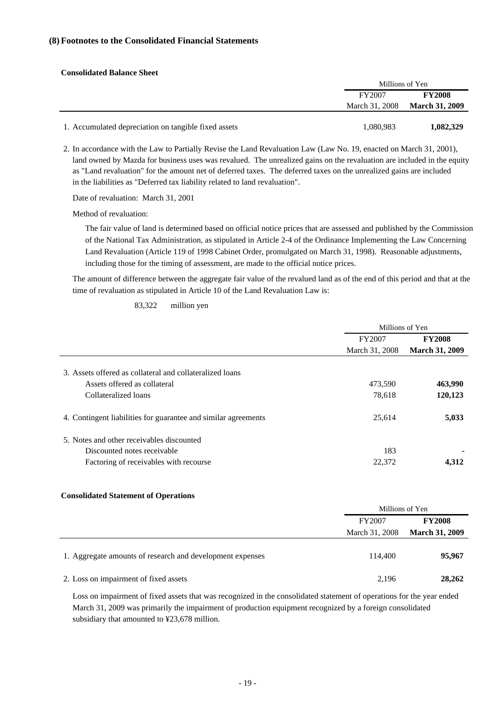### **(8) Footnotes to the Consolidated Financial Statements**

| <b>Consolidated Balance Sheet</b>                    |           |                               |
|------------------------------------------------------|-----------|-------------------------------|
|                                                      |           | Millions of Yen               |
|                                                      | FY2007    | <b>FY2008</b>                 |
|                                                      |           | March 31, 2008 March 31, 2009 |
| 1. Accumulated depreciation on tangible fixed assets | 1,080,983 | 1,082,329                     |

2. In accordance with the Law to Partially Revise the Land Revaluation Law (Law No. 19, enacted on March 31, 2001), land owned by Mazda for business uses was revalued. The unrealized gains on the revaluation are included in the equity as "Land revaluation" for the amount net of deferred taxes. The deferred taxes on the unrealized gains are included in the liabilities as "Deferred tax liability related to land revaluation".

Date of revaluation: March 31, 2001

Method of revaluation:

The fair value of land is determined based on official notice prices that are assessed and published by the Commission of the National Tax Administration, as stipulated in Article 2-4 of the Ordinance Implementing the Law Concerning Land Revaluation (Article 119 of 1998 Cabinet Order, promulgated on March 31, 1998). Reasonable adjustments, including those for the timing of assessment, are made to the official notice prices.

The amount of difference between the aggregate fair value of the revalued land as of the end of this period and that at the time of revaluation as stipulated in Article 10 of the Land Revaluation Law is:

83,322 million yen

|                                                                | Millions of Yen |                       |  |
|----------------------------------------------------------------|-----------------|-----------------------|--|
|                                                                | FY2007          | <b>FY2008</b>         |  |
|                                                                | March 31, 2008  | <b>March 31, 2009</b> |  |
| 3. Assets offered as collateral and collateralized loans       |                 |                       |  |
| Assets offered as collateral                                   | 473,590         | 463,990               |  |
| Collateralized loans                                           | 78,618          | 120,123               |  |
| 4. Contingent liabilities for guarantee and similar agreements | 25.614          | 5,033                 |  |
| 5. Notes and other receivables discounted                      |                 |                       |  |
| Discounted notes receivable                                    | 183             |                       |  |
| Factoring of receivables with recourse                         | 22,372          | 4.312                 |  |

#### **Consolidated Statement of Operations**

|                                                           |                | Millions of Yen       |  |  |
|-----------------------------------------------------------|----------------|-----------------------|--|--|
|                                                           | FY2007         | <b>FY2008</b>         |  |  |
|                                                           | March 31, 2008 | <b>March 31, 2009</b> |  |  |
| 1. Aggregate amounts of research and development expenses | 114,400        | 95,967                |  |  |
| 2. Loss on impairment of fixed assets                     | 2,196          | 28,262                |  |  |

Loss on impairment of fixed assets that was recognized in the consolidated statement of operations for the year ended March 31, 2009 was primarily the impairment of production equipment recognized by a foreign consolidated subsidiary that amounted to ¥23,678 million.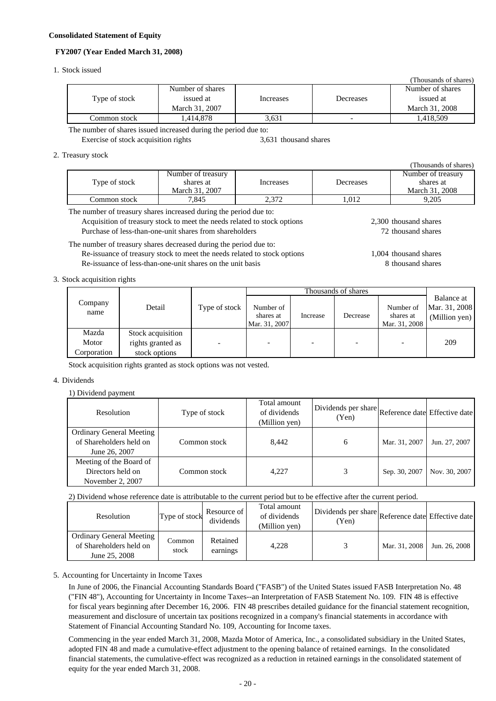#### **Consolidated Statement of Equity**

#### **FY2007 (Year Ended March 31, 2008)**

#### 1. Stock issued

|               |                  |           |           | (Thousands of shares) |
|---------------|------------------|-----------|-----------|-----------------------|
| Type of stock | Number of shares |           |           | Number of shares      |
|               | issued at        | Increases | Decreases | issued at             |
|               | March 31, 2007   |           |           | March 31, 2008        |
| Common stock  | .414.878         | 3.631     | -         | 1.418.509             |
|               |                  |           |           |                       |

The number of shares issued increased during the period due to: Exercise of stock acquisition rights 3,631 thousand shares

#### 2. Treasury stock

|               |                                                   |           |           | Thousands of shares                               |
|---------------|---------------------------------------------------|-----------|-----------|---------------------------------------------------|
| Type of stock | Number of treasury<br>shares at<br>March 31, 2007 | Increases | Decreases | Number of treasury<br>shares at<br>March 31, 2008 |
| Common stock  | 7.845                                             | 2.372     | 1.012     | 9.205                                             |

The number of treasury shares increased during the period due to:

Acquisition of treasury stock to meet the needs related to stock options Purchase of less-than-one-unit shares from shareholders

## The number of treasury shares decreased during the period due to:

Re-issuance of treasury stock to meet the needs related to stock options Re-issuance of less-than-one-unit shares on the unit basis

2,300 thousand shares 72 thousand shares

(Thousands of shares)

1,004 thousand shares 8 thousand shares

#### 3. Stock acquisition rights

|                 |                                        |               | Thousands of shares                     |          |          |                                         |                                              |
|-----------------|----------------------------------------|---------------|-----------------------------------------|----------|----------|-----------------------------------------|----------------------------------------------|
| Company<br>name | Detail                                 | Type of stock | Number of<br>shares at<br>Mar. 31, 2007 | Increase | Decrease | Number of<br>shares at<br>Mar. 31, 2008 | Balance at<br>Mar. 31, 2008<br>(Million yen) |
| Mazda<br>Motor  | Stock acquisition<br>rights granted as |               |                                         |          | -        |                                         | 209                                          |
| Corporation     | stock options                          |               |                                         |          |          |                                         |                                              |

Stock acquisition rights granted as stock options was not vested.

#### 4. Dividends

#### 1) Dividend payment

| <b>Resolution</b>                                                           | Type of stock | Total amount<br>of dividends<br>(Million yen) | Dividends per share Reference date Effective date<br>(Yen) |               |               |
|-----------------------------------------------------------------------------|---------------|-----------------------------------------------|------------------------------------------------------------|---------------|---------------|
| <b>Ordinary General Meeting</b><br>of Shareholders held on<br>June 26, 2007 | Common stock  | 8.442                                         | 6                                                          | Mar. 31, 2007 | Jun. 27, 2007 |
| Meeting of the Board of<br>Directors held on<br>November 2, 2007            | Common stock  | 4.227                                         |                                                            | Sep. 30, 2007 | Nov. 30, 2007 |

#### 2) Dividend whose reference date is attributable to the current period but to be effective after the current period.

| Resolution                                                           | Type of stock   | Resource of<br>dividends | Total amount<br>of dividends<br>(Million yen) | Dividends per share Reference date Effective date<br>(Yen) |               |               |
|----------------------------------------------------------------------|-----------------|--------------------------|-----------------------------------------------|------------------------------------------------------------|---------------|---------------|
| Ordinary General Meeting<br>of Shareholders held on<br>June 25, 2008 | Common<br>stock | Retained<br>earnings     | 4.228                                         |                                                            | Mar. 31, 2008 | Jun. 26, 2008 |

#### 5. Accounting for Uncertainty in Income Taxes

In June of 2006, the Financial Accounting Standards Board ("FASB") of the United States issued FASB Interpretation No. 48 ("FIN 48"), Accounting for Uncertainty in Income Taxes--an Interpretation of FASB Statement No. 109. FIN 48 is effective for fiscal years beginning after December 16, 2006. FIN 48 prescribes detailed guidance for the financial statement recognition, measurement and disclosure of uncertain tax positions recognized in a company's financial statements in accordance with Statement of Financial Accounting Standard No. 109, Accounting for Income taxes.

Commencing in the year ended March 31, 2008, Mazda Motor of America, Inc., a consolidated subsidiary in the United States, adopted FIN 48 and made a cumulative-effect adjustment to the opening balance of retained earnings. In the consolidated financial statements, the cumulative-effect was recognized as a reduction in retained earnings in the consolidated statement of equity for the year ended March 31, 2008.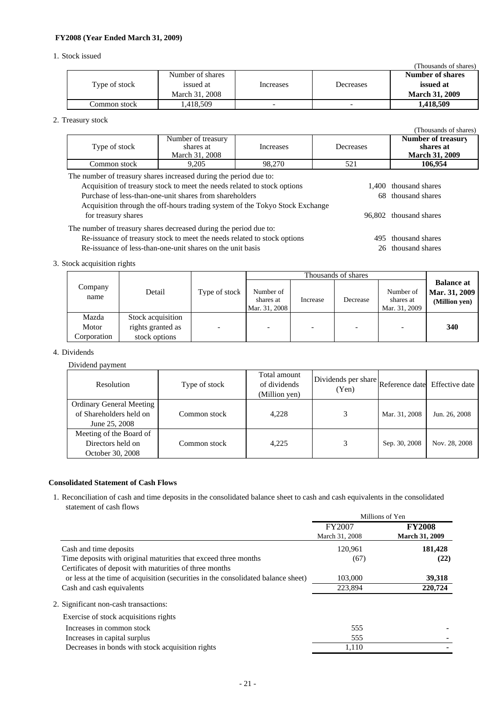### **FY2008 (Year Ended March 31, 2009)**

#### 1. Stock issued

|               |                  |           |                          | (Thousands of shares) |
|---------------|------------------|-----------|--------------------------|-----------------------|
| Type of stock | Number of shares |           |                          | Number of shares      |
|               | issued at        | Increases | Decreases                | issued at             |
|               | March 31, 2008   |           |                          | <b>March 31, 2009</b> |
| Common stock  | .418.509         | -         | $\overline{\phantom{0}}$ | 1.418.509             |

#### 2. Treasury stock

|                                                                                                                                                                                                                                                                                                                                 |                                                   |           |           | (Thousands of shares)                                           |  |  |
|---------------------------------------------------------------------------------------------------------------------------------------------------------------------------------------------------------------------------------------------------------------------------------------------------------------------------------|---------------------------------------------------|-----------|-----------|-----------------------------------------------------------------|--|--|
| Type of stock                                                                                                                                                                                                                                                                                                                   | Number of treasury<br>shares at<br>March 31, 2008 | Increases | Decreases | <b>Number of treasury</b><br>shares at<br><b>March 31, 2009</b> |  |  |
| Common stock                                                                                                                                                                                                                                                                                                                    | 9.205                                             | 98,270    | 521       | 106.954                                                         |  |  |
| The number of treasury shares increased during the period due to:<br>$\mathbf{A}$ and $\mathbf{A}$ are the contracted of the contracted of the contracted of the contracted of the contracted of the contracted of the contracted of the contracted of the contracted of the contracted of the contracted<br>$1.100 \t11$ $1.1$ |                                                   |           |           |                                                                 |  |  |

| Acquisition of treasury stock to meet the needs related to stock options     | 1,400 thousand shares  |
|------------------------------------------------------------------------------|------------------------|
| Purchase of less-than-one-unit shares from shareholders                      | 68 thousand shares     |
| Acquisition through the off-hours trading system of the Tokyo Stock Exchange |                        |
| for treasury shares                                                          | 96,802 thousand shares |
| The number of treasury shares decreased during the period due to:            |                        |
| Re-issuance of treasury stock to meet the needs related to stock options     | 495 thousand shares    |
| Re-issuance of less-than-one-unit shares on the unit basis                   | 26 thousand shares     |

### 3. Stock acquisition rights

|                 |                   |               | Thousands of shares                     |          |                          |                                         |                                                     |
|-----------------|-------------------|---------------|-----------------------------------------|----------|--------------------------|-----------------------------------------|-----------------------------------------------------|
| Company<br>name | Detail            | Type of stock | Number of<br>shares at<br>Mar. 31, 2008 | Increase | Decrease                 | Number of<br>shares at<br>Mar. 31, 2009 | <b>Balance at</b><br>Mar. 31, 2009<br>(Million yen) |
| Mazda           | Stock acquisition |               |                                         |          |                          |                                         |                                                     |
| Motor           | rights granted as |               |                                         |          | $\overline{\phantom{a}}$ |                                         | 340                                                 |
| Corporation     | stock options     |               |                                         |          |                          |                                         |                                                     |

# 4. Dividends

### Dividend payment

| Resolution                                                                  | Type of stock | Total amount<br>of dividends<br>(Million yen) | Dividends per share Reference date Effective date '<br>(Yen) |               |               |
|-----------------------------------------------------------------------------|---------------|-----------------------------------------------|--------------------------------------------------------------|---------------|---------------|
| <b>Ordinary General Meeting</b><br>of Shareholders held on<br>June 25, 2008 | Common stock- | 4,228                                         | 3                                                            | Mar. 31, 2008 | Jun. 26, 2008 |
| Meeting of the Board of<br>Directors held on<br>October 30, 2008            | Common stock- | 4.225                                         |                                                              | Sep. 30, 2008 | Nov. 28, 2008 |

## **Consolidated Statement of Cash Flows**

1. Reconciliation of cash and time deposits in the consolidated balance sheet to cash and cash equivalents in the consolidated statement of cash flows Millions of  $V_6$ 

|                                                                                   | Millions of ren          |                                        |  |
|-----------------------------------------------------------------------------------|--------------------------|----------------------------------------|--|
|                                                                                   | FY2007<br>March 31, 2008 | <b>FY2008</b><br><b>March 31, 2009</b> |  |
| Cash and time deposits                                                            | 120,961                  | 181,428                                |  |
| Time deposits with original maturities that exceed three months                   | (67)                     | (22)                                   |  |
| Certificates of deposit with maturities of three months                           |                          |                                        |  |
| or less at the time of acquisition (securities in the consolidated balance sheet) | 103,000                  | 39,318                                 |  |
| Cash and cash equivalents                                                         | 223,894                  | 220,724                                |  |
| 2. Significant non-cash transactions:                                             |                          |                                        |  |
| Exercise of stock acquisitions rights                                             |                          |                                        |  |
| Increases in common stock                                                         | 555                      |                                        |  |
| Increases in capital surplus                                                      | 555                      |                                        |  |
| Decreases in bonds with stock acquisition rights                                  | 1,110                    |                                        |  |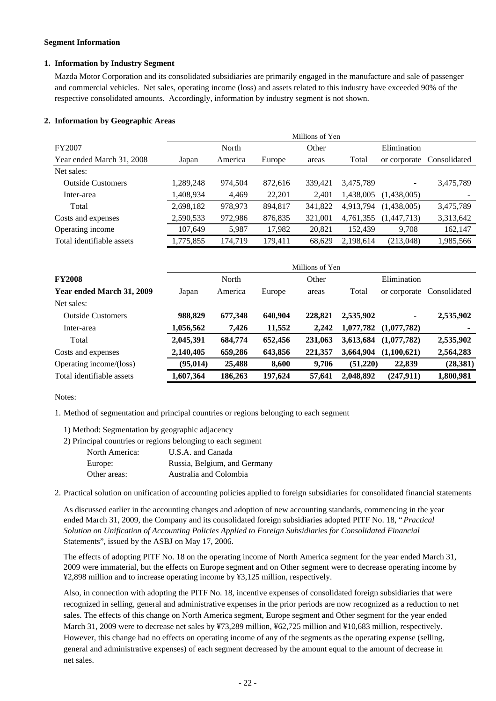#### **Segment Information**

### **1. Information by Industry Segment**

Mazda Motor Corporation and its consolidated subsidiaries are primarily engaged in the manufacture and sale of passenger and commercial vehicles. Net sales, operating income (loss) and assets related to this industry have exceeded 90% of the respective consolidated amounts. Accordingly, information by industry segment is not shown.

### **2. Information by Geographic Areas**

|                           | Millions of Yen |         |         |         |           |             |                           |
|---------------------------|-----------------|---------|---------|---------|-----------|-------------|---------------------------|
| <b>FY2007</b>             |                 | North   |         | Other   |           | Elimination |                           |
| Year ended March 31, 2008 | Japan           | America | Europe  | areas   | Total     |             | or corporate Consolidated |
| Net sales:                |                 |         |         |         |           |             |                           |
| <b>Outside Customers</b>  | 1,289,248       | 974,504 | 872,616 | 339.421 | 3,475,789 | ۰           | 3,475,789                 |
| Inter-area                | 1,408,934       | 4,469   | 22,201  | 2,401   | 1,438,005 | (1,438,005) |                           |
| Total                     | 2,698,182       | 978,973 | 894,817 | 341,822 | 4,913,794 | (1,438,005) | 3,475,789                 |
| Costs and expenses        | 2,590,533       | 972,986 | 876,835 | 321,001 | 4,761,355 | (1,447,713) | 3,313,642                 |
| Operating income          | 107.649         | 5,987   | 17,982  | 20,821  | 152.439   | 9,708       | 162,147                   |
| Total identifiable assets | 1,775,855       | 174.719 | 179.411 | 68.629  | 2.198.614 | (213,048)   | 1,985,566                 |

|                           | Millions of Yen |         |         |         |           |              |              |
|---------------------------|-----------------|---------|---------|---------|-----------|--------------|--------------|
| <b>FY2008</b>             |                 | North   |         | Other   |           | Elimination  |              |
| Year ended March 31, 2009 | Japan           | America | Europe  | areas   | Total     | or corporate | Consolidated |
| Net sales:                |                 |         |         |         |           |              |              |
| <b>Outside Customers</b>  | 988.829         | 677,348 | 640,904 | 228,821 | 2,535,902 | ٠            | 2,535,902    |
| Inter-area                | 1,056,562       | 7,426   | 11,552  | 2,242   | 1,077,782 | (1,077,782)  | ۰            |
| Total                     | 2,045,391       | 684,774 | 652,456 | 231,063 | 3,613,684 | (1,077,782)  | 2,535,902    |
| Costs and expenses        | 2,140,405       | 659,286 | 643,856 | 221,357 | 3,664,904 | (1,100,621)  | 2,564,283    |
| Operating income/(loss)   | (95, 014)       | 25,488  | 8,600   | 9,706   | (51,220)  | 22,839       | (28, 381)    |
| Total identifiable assets | 1,607,364       | 186,263 | 197,624 | 57,641  | 2,048,892 | (247, 911)   | 1,800,981    |

#### Notes:

1. Method of segmentation and principal countries or regions belonging to each segment

- 1) Method: Segmentation by geographic adjacency
- 2) Principal countries or regions belonging to each segment

| North America: | U.S.A. and Canada            |
|----------------|------------------------------|
| Europe:        | Russia, Belgium, and Germany |
| Other areas:   | Australia and Colombia       |

2. Practical solution on unification of accounting policies applied to foreign subsidiaries for consolidated financial statements

As discussed earlier in the accounting changes and adoption of new accounting standards, commencing in the year ended March 31, 2009, the Company and its consolidated foreign subsidiaries adopted PITF No. 18, "*Practical Solution on Unification of Accounting Policies Applied to Foreign Subsidiaries for Consolidated Financial*  Statements", issued by the ASBJ on May 17, 2006.

The effects of adopting PITF No. 18 on the operating income of North America segment for the year ended March 31, 2009 were immaterial, but the effects on Europe segment and on Other segment were to decrease operating income by ¥2,898 million and to increase operating income by ¥3,125 million, respectively.

Also, in connection with adopting the PITF No. 18, incentive expenses of consolidated foreign subsidiaries that were recognized in selling, general and administrative expenses in the prior periods are now recognized as a reduction to net sales. The effects of this change on North America segment, Europe segment and Other segment for the year ended March 31, 2009 were to decrease net sales by ¥73,289 million, ¥62,725 million and ¥10,683 million, respectively. However, this change had no effects on operating income of any of the segments as the operating expense (selling, general and administrative expenses) of each segment decreased by the amount equal to the amount of decrease in net sales.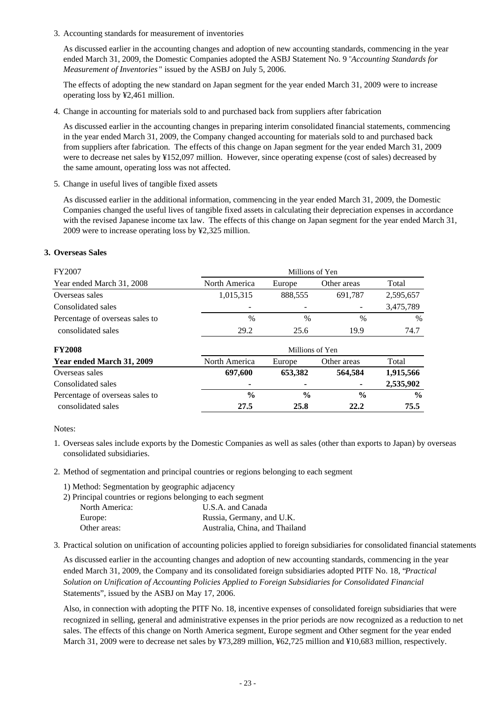3. Accounting standards for measurement of inventories

As discussed earlier in the accounting changes and adoption of new accounting standards, commencing in the year ended March 31, 2009, the Domestic Companies adopted the ASBJ Statement No. 9 "*Accounting Standards for Measurement of Inventories* " issued by the ASBJ on July 5, 2006.

The effects of adopting the new standard on Japan segment for the year ended March 31, 2009 were to increase operating loss by ¥2,461 million.

4. Change in accounting for materials sold to and purchased back from suppliers after fabrication

As discussed earlier in the accounting changes in preparing interim consolidated financial statements, commencing in the year ended March 31, 2009, the Company changed accounting for materials sold to and purchased back from suppliers after fabrication. The effects of this change on Japan segment for the year ended March 31, 2009 were to decrease net sales by ¥152,097 million. However, since operating expense (cost of sales) decreased by the same amount, operating loss was not affected.

5. Change in useful lives of tangible fixed assets

As discussed earlier in the additional information, commencing in the year ended March 31, 2009, the Domestic Companies changed the useful lives of tangible fixed assets in calculating their depreciation expenses in accordance with the revised Japanese income tax law. The effects of this change on Japan segment for the year ended March 31, 2009 were to increase operating loss by ¥2,325 million.

## **3. Overseas Sales**

| FY2007                          |               | Millions of Yen |               |           |  |
|---------------------------------|---------------|-----------------|---------------|-----------|--|
| Year ended March 31, 2008       | North America | Europe          | Other areas   | Total     |  |
| Overseas sales                  | 1,015,315     | 888,555         | 691,787       | 2,595,657 |  |
| Consolidated sales              |               | -               | -             | 3,475,789 |  |
| Percentage of overseas sales to | $\%$          | $\frac{0}{0}$   | $\frac{0}{0}$ | $\%$      |  |
| consolidated sales              | 29.2          | 25.6            | 19.9          | 74.7      |  |
|                                 |               |                 |               |           |  |

| <b>FY2008</b>                   | Millions of Yen |               |               |               |
|---------------------------------|-----------------|---------------|---------------|---------------|
| Year ended March 31, 2009       | North America   | Europe        | Other areas   | Total         |
| Overseas sales                  | 697,600         | 653,382       | 564,584       | 1,915,566     |
| Consolidated sales              | $\blacksquare$  | ۰             | ۰             | 2,535,902     |
| Percentage of overseas sales to | $\frac{0}{0}$   | $\frac{0}{0}$ | $\frac{0}{0}$ | $\frac{6}{9}$ |
| consolidated sales              | 27.5            | 25.8          | 22.2          | 75.5          |

Notes:

- 1. Overseas sales include exports by the Domestic Companies as well as sales (other than exports to Japan) by overseas consolidated subsidiaries.
- 2. Method of segmentation and principal countries or regions belonging to each segment
	- 1) Method: Segmentation by geographic adjacency

| 2) Principal countries or regions belonging to each segment |                                |
|-------------------------------------------------------------|--------------------------------|
| North America:                                              | U.S.A. and Canada              |
| Europe:                                                     | Russia, Germany, and U.K.      |
| Other areas:                                                | Australia, China, and Thailand |
|                                                             |                                |

3. Practical solution on unification of accounting policies applied to foreign subsidiaries for consolidated financial statements

As discussed earlier in the accounting changes and adoption of new accounting standards, commencing in the year ended March 31, 2009, the Company and its consolidated foreign subsidiaries adopted PITF No. 18, "*Practical Solution on Unification of Accounting Policies Applied to Foreign Subsidiaries for Consolidated Financial*  Statements", issued by the ASBJ on May 17, 2006.

Also, in connection with adopting the PITF No. 18, incentive expenses of consolidated foreign subsidiaries that were recognized in selling, general and administrative expenses in the prior periods are now recognized as a reduction to net sales. The effects of this change on North America segment, Europe segment and Other segment for the year ended March 31, 2009 were to decrease net sales by ¥73,289 million, ¥62,725 million and ¥10,683 million, respectively.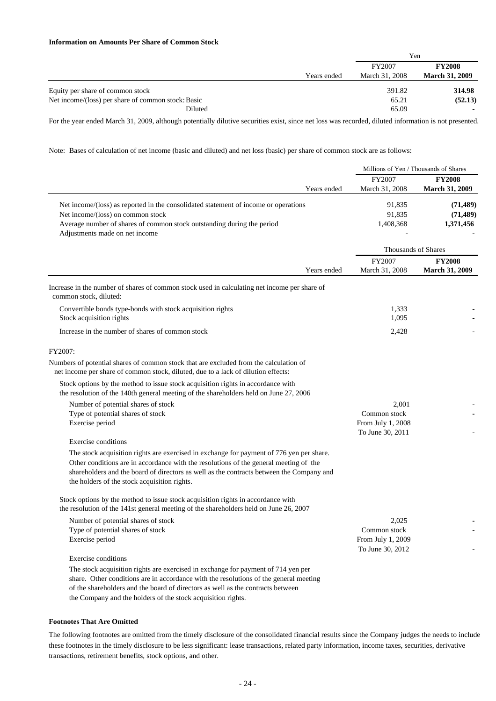#### **Information on Amounts Per Share of Common Stock**

|                                                    |             | Yen            |                       |
|----------------------------------------------------|-------------|----------------|-----------------------|
|                                                    |             | FY2007         | <b>FY2008</b>         |
|                                                    | Years ended | March 31, 2008 | <b>March 31, 2009</b> |
| Equity per share of common stock                   |             | 391.82         | 314.98                |
| Net income/(loss) per share of common stock: Basic |             | 65.21          | (52.13)               |
| Diluted                                            |             | 65.09          |                       |

For the year ended March 31, 2009, although potentially dilutive securities exist, since net loss was recorded, diluted information is not presented.

Note: Bases of calculation of net income (basic and diluted) and net loss (basic) per share of common stock are as follows:

|                                                                                                                                                                                                                                                                                                                                                                                                           | Millions of Yen / Thousands of Shares                          |                                        |  |
|-----------------------------------------------------------------------------------------------------------------------------------------------------------------------------------------------------------------------------------------------------------------------------------------------------------------------------------------------------------------------------------------------------------|----------------------------------------------------------------|----------------------------------------|--|
| Years ended                                                                                                                                                                                                                                                                                                                                                                                               | FY2007<br>March 31, 2008                                       | <b>FY2008</b><br><b>March 31, 2009</b> |  |
| Net income/(loss) as reported in the consolidated statement of income or operations<br>Net income/(loss) on common stock<br>Average number of shares of common stock outstanding during the period<br>Adjustments made on net income                                                                                                                                                                      | 91,835<br>91,835<br>1,408,368                                  | (71, 489)<br>(71, 489)<br>1,371,456    |  |
|                                                                                                                                                                                                                                                                                                                                                                                                           | <b>Thousands of Shares</b>                                     |                                        |  |
| Years ended                                                                                                                                                                                                                                                                                                                                                                                               | FY2007<br>March 31, 2008                                       | <b>FY2008</b><br><b>March 31, 2009</b> |  |
| Increase in the number of shares of common stock used in calculating net income per share of<br>common stock, diluted:                                                                                                                                                                                                                                                                                    |                                                                |                                        |  |
| Convertible bonds type-bonds with stock acquisition rights<br>Stock acquisition rights                                                                                                                                                                                                                                                                                                                    | 1,333<br>1,095                                                 |                                        |  |
| Increase in the number of shares of common stock                                                                                                                                                                                                                                                                                                                                                          | 2,428                                                          |                                        |  |
| FY2007:<br>Numbers of potential shares of common stock that are excluded from the calculation of<br>net income per share of common stock, diluted, due to a lack of dilution effects:<br>Stock options by the method to issue stock acquisition rights in accordance with<br>the resolution of the 140th general meeting of the shareholders held on June 27, 2006<br>Number of potential shares of stock | 2,001                                                          |                                        |  |
| Type of potential shares of stock<br>Exercise period                                                                                                                                                                                                                                                                                                                                                      | Common stock<br>From July 1, 2008<br>To June 30, 2011          |                                        |  |
| Exercise conditions<br>The stock acquisition rights are exercised in exchange for payment of 776 yen per share.<br>Other conditions are in accordance with the resolutions of the general meeting of the<br>shareholders and the board of directors as well as the contracts between the Company and<br>the holders of the stock acquisition rights.                                                      |                                                                |                                        |  |
| Stock options by the method to issue stock acquisition rights in accordance with<br>the resolution of the 141st general meeting of the shareholders held on June 26, 2007                                                                                                                                                                                                                                 |                                                                |                                        |  |
| Number of potential shares of stock<br>Type of potential shares of stock<br>Exercise period                                                                                                                                                                                                                                                                                                               | 2,025<br>Common stock<br>From July 1, 2009<br>To June 30, 2012 |                                        |  |
| <b>Exercise</b> conditions<br>The stock acquisition rights are exercised in exchange for payment of 714 yen per<br>share. Other conditions are in accordance with the resolutions of the general meeting<br>of the shareholders and the board of directors as well as the contracts between<br>the Company and the holders of the stock acquisition rights.                                               |                                                                |                                        |  |

#### **Footnotes That Are Omitted**

The following footnotes are omitted from the timely disclosure of the consolidated financial results since the Company judges the needs to include these footnotes in the timely disclosure to be less significant: lease transactions, related party information, income taxes, securities, derivative transactions, retirement benefits, stock options, and other.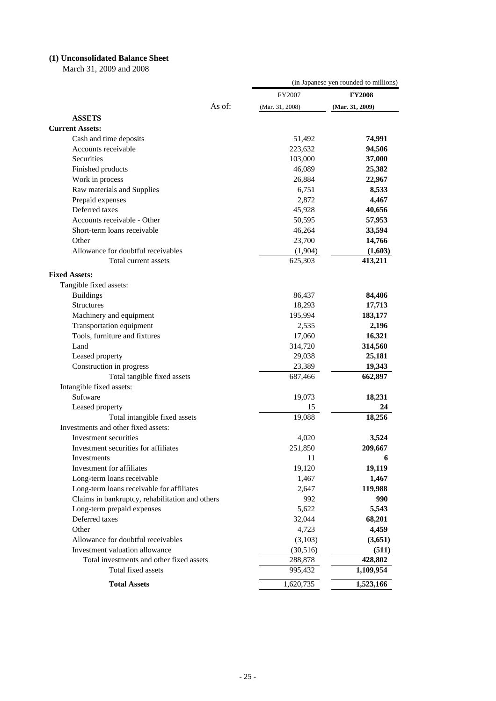# **(1) Unconsolidated Balance Sheet**

March 31, 2009 and 2008

|                                                 |        | (in Japanese yen rounded to millions) |                 |  |
|-------------------------------------------------|--------|---------------------------------------|-----------------|--|
|                                                 |        | FY2007                                | <b>FY2008</b>   |  |
|                                                 | As of: | (Mar. $31, 2008$ )                    | (Mar. 31, 2009) |  |
| <b>ASSETS</b>                                   |        |                                       |                 |  |
| <b>Current Assets:</b>                          |        |                                       |                 |  |
| Cash and time deposits                          |        | 51,492                                | 74,991          |  |
| Accounts receivable                             |        | 223,632                               | 94,506          |  |
| Securities                                      |        | 103,000                               | 37,000          |  |
| Finished products                               |        | 46,089                                | 25,382          |  |
| Work in process                                 |        | 26,884                                | 22,967          |  |
| Raw materials and Supplies                      |        | 6,751                                 | 8,533           |  |
| Prepaid expenses                                |        | 2,872                                 | 4,467           |  |
| Deferred taxes                                  |        | 45,928                                | 40,656          |  |
| Accounts receivable - Other                     |        | 50,595                                | 57,953          |  |
| Short-term loans receivable                     |        | 46,264                                | 33,594          |  |
| Other                                           |        | 23,700                                | 14,766          |  |
| Allowance for doubtful receivables              |        | (1,904)                               | (1,603)         |  |
| Total current assets                            |        | 625,303                               | 413,211         |  |
|                                                 |        |                                       |                 |  |
| <b>Fixed Assets:</b>                            |        |                                       |                 |  |
| Tangible fixed assets:                          |        |                                       |                 |  |
| <b>Buildings</b>                                |        | 86,437                                | 84,406          |  |
| <b>Structures</b>                               |        | 18,293                                | 17,713          |  |
| Machinery and equipment                         |        | 195,994                               | 183,177         |  |
| Transportation equipment                        |        | 2,535                                 | 2,196           |  |
| Tools, furniture and fixtures                   |        | 17,060                                | 16,321          |  |
| Land                                            |        | 314,720                               | 314,560         |  |
| Leased property                                 |        | 29,038                                | 25,181          |  |
| Construction in progress                        |        | 23,389                                | 19,343          |  |
| Total tangible fixed assets                     |        | 687,466                               | 662,897         |  |
| Intangible fixed assets:                        |        |                                       |                 |  |
| Software                                        |        | 19,073                                | 18,231          |  |
| Leased property                                 |        | 15                                    | 24              |  |
| Total intangible fixed assets                   |        | 19,088                                | 18,256          |  |
| Investments and other fixed assets:             |        |                                       |                 |  |
| Investment securities                           |        | 4,020                                 | 3,524           |  |
| Investment securities for affiliates            |        | 251,850                               | 209,667         |  |
| Investments                                     |        | 11                                    | 6               |  |
| Investment for affiliates                       |        | 19,120                                | 19,119          |  |
| Long-term loans receivable                      |        | 1,467                                 | 1,467           |  |
| Long-term loans receivable for affiliates       |        | 2,647                                 | 119,988         |  |
| Claims in bankruptcy, rehabilitation and others |        | 992                                   | 990             |  |
| Long-term prepaid expenses                      |        | 5,622                                 | 5,543           |  |
| Deferred taxes                                  |        | 32,044                                | 68,201          |  |
| Other                                           |        | 4,723                                 | 4,459           |  |
| Allowance for doubtful receivables              |        | (3,103)                               | (3,651)         |  |
| Investment valuation allowance                  |        | (30,516)                              | (511)           |  |
| Total investments and other fixed assets        |        | 288,878                               | 428,802         |  |
| Total fixed assets                              |        | 995,432                               | 1,109,954       |  |
| <b>Total Assets</b>                             |        | 1,620,735                             | 1,523,166       |  |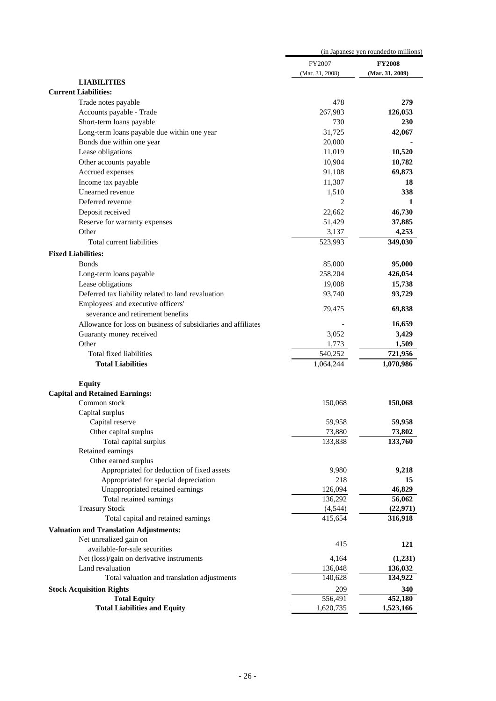|                                                               | (in Japanese yen rounded to millions) |                 |  |
|---------------------------------------------------------------|---------------------------------------|-----------------|--|
|                                                               | FY2007                                | <b>FY2008</b>   |  |
|                                                               | (Mar. 31, 2008)                       | (Mar. 31, 2009) |  |
| <b>LIABILITIES</b>                                            |                                       |                 |  |
| <b>Current Liabilities:</b>                                   |                                       |                 |  |
| Trade notes payable                                           | 478                                   | 279             |  |
| Accounts payable - Trade                                      | 267,983                               | 126,053         |  |
| Short-term loans payable                                      | 730                                   | 230             |  |
| Long-term loans payable due within one year                   | 31,725                                | 42,067          |  |
| Bonds due within one year                                     | 20,000                                |                 |  |
| Lease obligations                                             | 11,019                                | 10,520          |  |
| Other accounts payable                                        | 10,904                                | 10,782          |  |
| Accrued expenses                                              | 91,108                                | 69,873          |  |
| Income tax payable                                            | 11,307                                | 18              |  |
| Unearned revenue                                              | 1,510                                 | 338             |  |
| Deferred revenue                                              | $\overline{c}$                        | 1               |  |
| Deposit received                                              | 22,662                                | 46,730          |  |
| Reserve for warranty expenses                                 | 51,429                                | 37,885          |  |
| Other                                                         | 3,137                                 | 4,253           |  |
| Total current liabilities                                     | 523,993                               | 349,030         |  |
| <b>Fixed Liabilities:</b>                                     |                                       |                 |  |
|                                                               |                                       |                 |  |
| <b>B</b> onds                                                 | 85,000                                | 95,000          |  |
| Long-term loans payable                                       | 258,204                               | 426,054         |  |
| Lease obligations                                             | 19,008                                | 15,738          |  |
| Deferred tax liability related to land revaluation            | 93,740                                | 93,729          |  |
| Employees' and executive officers'                            | 79,475                                | 69,838          |  |
| severance and retirement benefits                             |                                       |                 |  |
| Allowance for loss on business of subsidiaries and affiliates |                                       | 16,659          |  |
| Guaranty money received                                       | 3,052                                 | 3,429           |  |
| Other                                                         | 1,773                                 | 1,509           |  |
| Total fixed liabilities                                       | 540,252                               | 721,956         |  |
| <b>Total Liabilities</b>                                      | 1,064,244                             | 1,070,986       |  |
| <b>Equity</b>                                                 |                                       |                 |  |
| <b>Capital and Retained Earnings:</b>                         |                                       |                 |  |
| Common stock                                                  | 150,068                               | 150,068         |  |
| Capital surplus                                               |                                       |                 |  |
| Capital reserve                                               | 59,958                                | 59,958          |  |
| Other capital surplus                                         | 73,880                                | 73,802          |  |
| Total capital surplus                                         | 133,838                               | 133,760         |  |
| Retained earnings                                             |                                       |                 |  |
| Other earned surplus                                          |                                       |                 |  |
| Appropriated for deduction of fixed assets                    | 9,980                                 | 9,218           |  |
| Appropriated for special depreciation                         | 218                                   | 15              |  |
| Unappropriated retained earnings                              | 126,094                               | 46,829          |  |
| Total retained earnings                                       | 136,292                               | 56,062          |  |
| <b>Treasury Stock</b>                                         | (4,544)                               | (22, 971)       |  |
| Total capital and retained earnings                           | 415,654                               | 316,918         |  |
| <b>Valuation and Translation Adjustments:</b>                 |                                       |                 |  |
| Net unrealized gain on                                        | 415                                   | 121             |  |
| available-for-sale securities                                 |                                       |                 |  |
| Net (loss)/gain on derivative instruments                     | 4,164                                 | (1,231)         |  |
| Land revaluation                                              | 136,048                               | 136,032         |  |
| Total valuation and translation adjustments                   | 140,628                               | 134,922         |  |
| <b>Stock Acquisition Rights</b>                               | 209                                   | 340             |  |
| <b>Total Equity</b>                                           | 556,491                               | 452,180         |  |
| <b>Total Liabilities and Equity</b>                           | 1,620,735                             | 1,523,166       |  |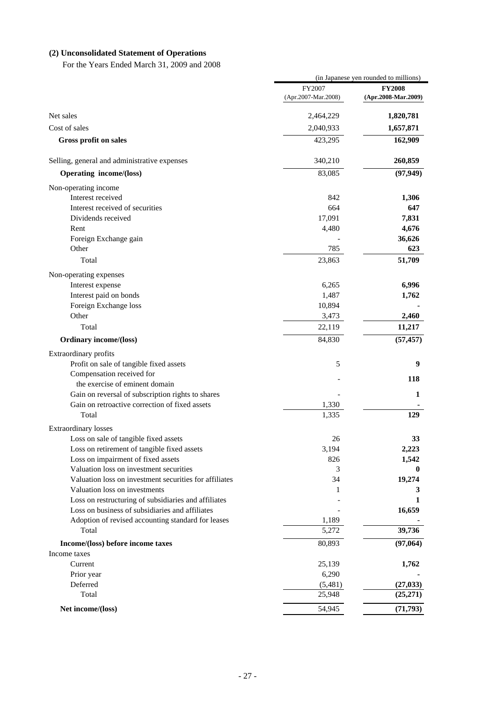# **(2) Unconsolidated Statement of Operations**

For the Years Ended March 31, 2009 and 2008

|                                                        | (in Japanese yen rounded to millions) |                     |  |
|--------------------------------------------------------|---------------------------------------|---------------------|--|
|                                                        | FY2007                                | <b>FY2008</b>       |  |
|                                                        | (Apr.2007-Mar.2008)                   | (Apr.2008-Mar.2009) |  |
| Net sales                                              | 2,464,229                             | 1,820,781           |  |
| Cost of sales                                          | 2,040,933                             | 1,657,871           |  |
| Gross profit on sales                                  | 423,295                               | 162,909             |  |
| Selling, general and administrative expenses           | 340,210                               | 260,859             |  |
| <b>Operating income/(loss)</b>                         | 83,085                                | (97, 949)           |  |
| Non-operating income                                   |                                       |                     |  |
| Interest received                                      | 842                                   | 1,306               |  |
| Interest received of securities                        | 664                                   | 647                 |  |
| Dividends received                                     | 17,091                                | 7,831               |  |
| Rent                                                   | 4,480                                 | 4,676               |  |
| Foreign Exchange gain                                  |                                       | 36,626              |  |
| Other                                                  | 785                                   | 623                 |  |
| Total                                                  | 23,863                                | 51,709              |  |
| Non-operating expenses                                 |                                       |                     |  |
| Interest expense                                       | 6,265                                 | 6,996               |  |
| Interest paid on bonds                                 | 1,487                                 | 1,762               |  |
| Foreign Exchange loss                                  | 10,894                                |                     |  |
| Other                                                  | 3,473                                 | 2,460               |  |
| Total                                                  | 22,119                                | 11,217              |  |
| Ordinary income/(loss)                                 | 84,830                                | (57, 457)           |  |
| Extraordinary profits                                  |                                       |                     |  |
| Profit on sale of tangible fixed assets                | 5                                     | 9                   |  |
| Compensation received for                              |                                       | 118                 |  |
| the exercise of eminent domain                         |                                       |                     |  |
| Gain on reversal of subscription rights to shares      |                                       | 1                   |  |
| Gain on retroactive correction of fixed assets         | 1,330                                 |                     |  |
| Total                                                  | 1,335                                 | 129                 |  |
| <b>Extraordinary losses</b>                            |                                       |                     |  |
| Loss on sale of tangible fixed assets                  | 26                                    | 33                  |  |
| Loss on retirement of tangible fixed assets            | 3,194                                 | 2,223               |  |
| Loss on impairment of fixed assets                     | 826                                   | 1,542               |  |
| Valuation loss on investment securities                | 3                                     | 0                   |  |
| Valuation loss on investment securities for affiliates | 34                                    | 19,274              |  |
| Valuation loss on investments                          | 1                                     | 3                   |  |
| Loss on restructuring of subsidiaries and affiliates   |                                       | 1                   |  |
| Loss on business of subsidiaries and affiliates        |                                       | 16,659              |  |
| Adoption of revised accounting standard for leases     | 1,189                                 |                     |  |
| Total                                                  | 5,272                                 | 39,736              |  |
| Income/(loss) before income taxes                      | 80,893                                | (97,064)            |  |
| Income taxes                                           |                                       |                     |  |
| Current                                                | 25,139                                | 1,762               |  |
| Prior year                                             | 6,290                                 |                     |  |
| Deferred<br>Total                                      | (5,481)                               | (27, 033)           |  |
|                                                        | 25,948                                | (25,271)            |  |
| Net income/(loss)                                      | 54,945                                | (71, 793)           |  |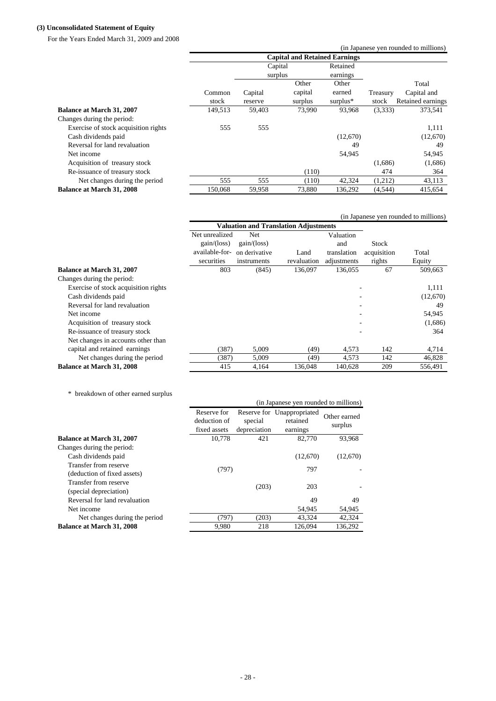### **(3) Unconsolidated Statement of Equity**

For the Years Ended March 31, 2009 and 2008

|                                      |         |         |         |                                      |          | (in Japanese yen rounded to millions) |
|--------------------------------------|---------|---------|---------|--------------------------------------|----------|---------------------------------------|
|                                      |         |         |         | <b>Capital and Retained Earnings</b> |          |                                       |
|                                      |         | Capital |         | Retained                             |          |                                       |
|                                      |         | surplus |         | earnings                             |          |                                       |
|                                      |         |         | Other   | Other                                |          | Total                                 |
|                                      | Common  | Capital | capital | earned                               | Treasury | Capital and                           |
|                                      | stock   | reserve | surplus | surplus $*$                          | stock    | Retained earnings                     |
| Balance at March 31, 2007            | 149.513 | 59,403  | 73,990  | 93,968                               | (3,333)  | 373,541                               |
| Changes during the period:           |         |         |         |                                      |          |                                       |
| Exercise of stock acquisition rights | 555     | 555     |         |                                      |          | 1,111                                 |
| Cash dividends paid                  |         |         |         | (12,670)                             |          | (12,670)                              |
| Reversal for land revaluation        |         |         |         | 49                                   |          | 49                                    |
| Net income                           |         |         |         | 54,945                               |          | 54,945                                |
| Acquisition of treasury stock        |         |         |         |                                      | (1,686)  | (1,686)                               |
| Re-issuance of treasury stock        |         |         | (110)   |                                      | 474      | 364                                   |
| Net changes during the period        | 555     | 555     | (110)   | 42,324                               | (1,212)  | 43,113                                |
| <b>Balance at March 31, 2008</b>     | 150,068 | 59,958  | 73,880  | 136,292                              | (4, 544) | 415,654                               |

|                                      |                                                                             |                                              |                     |                                                |                                | (in Japanese yen rounded to millions) |
|--------------------------------------|-----------------------------------------------------------------------------|----------------------------------------------|---------------------|------------------------------------------------|--------------------------------|---------------------------------------|
|                                      |                                                                             | <b>Valuation and Translation Adjustments</b> |                     |                                                |                                |                                       |
|                                      | Net unrealized<br>gain/(loss)<br>available-for- on derivative<br>securities | Net<br>gain/(loss)<br>instruments            | Land<br>revaluation | Valuation<br>and<br>translation<br>adjustments | Stock<br>acquisition<br>rights | Total<br>Equity                       |
| <b>Balance at March 31, 2007</b>     | 803                                                                         | (845)                                        | 136,097             | 136,055                                        | 67                             | 509,663                               |
| Changes during the period:           |                                                                             |                                              |                     |                                                |                                |                                       |
| Exercise of stock acquisition rights |                                                                             |                                              |                     |                                                |                                | 1,111                                 |
| Cash dividends paid                  |                                                                             |                                              |                     |                                                |                                | (12,670)                              |
| Reversal for land revaluation        |                                                                             |                                              |                     | ٠                                              |                                | 49                                    |
| Net income                           |                                                                             |                                              |                     |                                                |                                | 54,945                                |
| Acquisition of treasury stock        |                                                                             |                                              |                     |                                                |                                | (1,686)                               |
| Re-issuance of treasury stock        |                                                                             |                                              |                     |                                                |                                | 364                                   |
| Net changes in accounts other than   |                                                                             |                                              |                     |                                                |                                |                                       |
| capital and retained earnings        | (387)                                                                       | 5,009                                        | (49)                | 4,573                                          | 142                            | 4,714                                 |
| Net changes during the period        | (387)                                                                       | 5,009                                        | (49)                | 4,573                                          | 142                            | 46,828                                |
| <b>Balance at March 31, 2008</b>     | 415                                                                         | 4,164                                        | 136,048             | 140,628                                        | 209                            | 556,491                               |

\* breakdown of other earned surplus

| orcango will of outply cartied burplub                                                                    |                                             |                         | (in Japanese yen rounded to millions)              |                         |
|-----------------------------------------------------------------------------------------------------------|---------------------------------------------|-------------------------|----------------------------------------------------|-------------------------|
|                                                                                                           | Reserve for<br>deduction of<br>fixed assets | special<br>depreciation | Reserve for Unappropriated<br>retained<br>earnings | Other earned<br>surplus |
| <b>Balance at March 31, 2007</b>                                                                          | 10,778                                      | 421                     | 82,770                                             | 93,968                  |
| Changes during the period:<br>Cash dividends paid<br>Transfer from reserve<br>(deduction of fixed assets) | (797)                                       |                         | (12,670)<br>797                                    | (12,670)                |
| Transfer from reserve<br>(special depreciation)                                                           |                                             | (203)                   | 203                                                |                         |
| Reversal for land revaluation                                                                             |                                             |                         | 49                                                 | 49                      |
| Net income                                                                                                |                                             |                         | 54,945                                             | 54,945                  |
| Net changes during the period                                                                             | (797)                                       | (203)                   | 43,324                                             | 42,324                  |
| <b>Balance at March 31, 2008</b>                                                                          | 9,980                                       | 218                     | 126,094                                            | 136,292                 |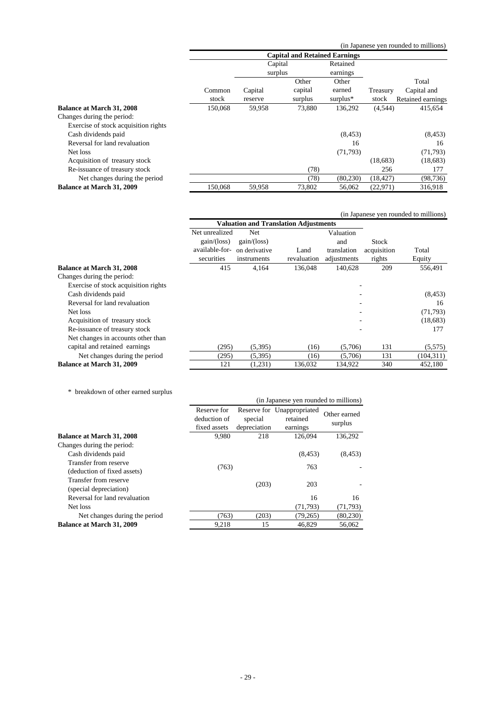(in Japanese yen rounded to millions)

|                                      | <b>Capital and Retained Earnings</b> |         |         |             |           |                   |
|--------------------------------------|--------------------------------------|---------|---------|-------------|-----------|-------------------|
|                                      |                                      | Capital |         | Retained    |           |                   |
|                                      |                                      | surplus |         | earnings    |           |                   |
|                                      |                                      |         | Other   | Other       |           | Total             |
|                                      | Common                               | Capital | capital | earned      | Treasury  | Capital and       |
|                                      | stock                                | reserve | surplus | surplus $*$ | stock     | Retained earnings |
| <b>Balance at March 31, 2008</b>     | 150,068                              | 59,958  | 73,880  | 136,292     | (4,544)   | 415,654           |
| Changes during the period:           |                                      |         |         |             |           |                   |
| Exercise of stock acquisition rights |                                      |         |         |             |           |                   |
| Cash dividends paid                  |                                      |         |         | (8, 453)    |           | (8, 453)          |
| Reversal for land revaluation        |                                      |         |         | 16          |           | 16                |
| Net loss                             |                                      |         |         | (71, 793)   |           | (71, 793)         |
| Acquisition of treasury stock        |                                      |         |         |             | (18,683)  | (18,683)          |
| Re-issuance of treasury stock        |                                      |         | (78)    |             | 256       | 177               |
| Net changes during the period        |                                      |         | (78)    | (80, 230)   | (18, 427) | (98, 736)         |
| Balance at March 31, 2009            | 150,068                              | 59,958  | 73,802  | 56,062      | (22, 971) | 316,918           |
|                                      |                                      |         |         |             |           |                   |

|                                      |                              |                                              |             |             |             | (in Japanese yen rounded to millions) |
|--------------------------------------|------------------------------|----------------------------------------------|-------------|-------------|-------------|---------------------------------------|
|                                      |                              | <b>Valuation and Translation Adjustments</b> |             |             |             |                                       |
|                                      | Net unrealized               | Net                                          |             | Valuation   |             |                                       |
|                                      | gain/(loss)                  | gain/(loss)                                  |             | and         | Stock       |                                       |
|                                      | available-for- on derivative |                                              | Land        | translation | acquisition | Total                                 |
|                                      | securities                   | instruments                                  | revaluation | adjustments | rights      | Equity                                |
| <b>Balance at March 31, 2008</b>     | 415                          | 4,164                                        | 136,048     | 140.628     | 209         | 556,491                               |
| Changes during the period:           |                              |                                              |             |             |             |                                       |
| Exercise of stock acquisition rights |                              |                                              |             |             |             |                                       |
| Cash dividends paid                  |                              |                                              |             |             |             | (8, 453)                              |
| Reversal for land revaluation        |                              |                                              |             |             |             | 16                                    |
| Net loss                             |                              |                                              |             |             |             | (71, 793)                             |
| Acquisition of treasury stock        |                              |                                              |             |             |             | (18, 683)                             |
| Re-issuance of treasury stock        |                              |                                              |             |             |             | 177                                   |
| Net changes in accounts other than   |                              |                                              |             |             |             |                                       |
| capital and retained earnings        | (295)                        | (5,395)                                      | (16)        | (5,706)     | 131         | (5,575)                               |
| Net changes during the period        | (295)                        | (5,395)                                      | (16)        | (5,706)     | 131         | (104, 311)                            |
| Balance at March 31, 2009            | 121                          | (1,231)                                      | 136,032     | 134,922     | 340         | 452,180                               |

|  | * breakdown of other earned surplus |  |  |  |  |  |
|--|-------------------------------------|--|--|--|--|--|
|--|-------------------------------------|--|--|--|--|--|

| eances will be said the complete state of the second second second second second second second second second s                                               |                                             |                         | (in Japanese yen rounded to millions)              |                         |
|--------------------------------------------------------------------------------------------------------------------------------------------------------------|---------------------------------------------|-------------------------|----------------------------------------------------|-------------------------|
|                                                                                                                                                              | Reserve for<br>deduction of<br>fixed assets | special<br>depreciation | Reserve for Unappropriated<br>retained<br>earnings | Other earned<br>surplus |
| <b>Balance at March 31, 2008</b>                                                                                                                             | 9.980                                       | 218                     | 126,094                                            | 136,292                 |
| Changes during the period:<br>Cash dividends paid<br>Transfer from reserve<br>(deduction of fixed assets)<br>Transfer from reserve<br>(special depreciation) | (763)                                       | (203)                   | (8, 453)<br>763<br>203                             | (8, 453)                |
| Reversal for land revaluation<br>Net loss                                                                                                                    |                                             |                         | 16<br>(71, 793)                                    | 16<br>(71, 793)         |
| Net changes during the period                                                                                                                                | (763)                                       | (203)                   | (79,265)                                           | (80, 230)               |
| <b>Balance at March 31, 2009</b>                                                                                                                             | 9,218                                       | 15                      | 46.829                                             | 56,062                  |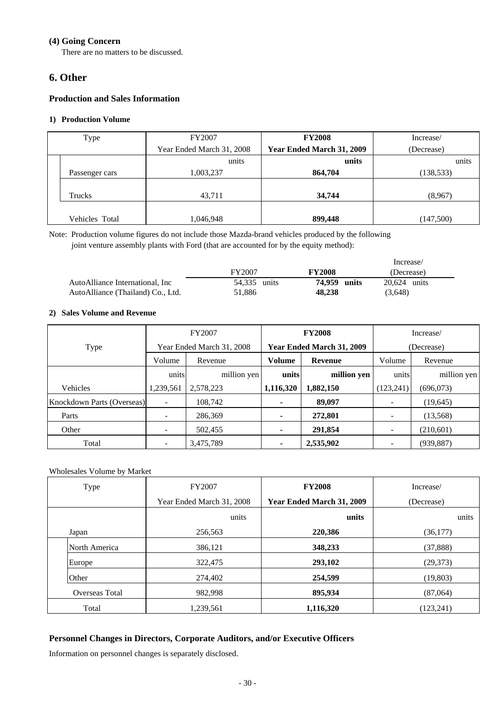## **(4) Going Concern**

There are no matters to be discussed.

# **6. Other**

# **Production and Sales Information**

## **1) Production Volume**

| Type           | FY2007                    | <b>FY2008</b>             | Increase/  |
|----------------|---------------------------|---------------------------|------------|
|                | Year Ended March 31, 2008 | Year Ended March 31, 2009 | (Decrease) |
|                | units                     | units                     | units      |
| Passenger cars | 1,003,237                 | 864,704                   | (138, 533) |
|                |                           |                           |            |
| Trucks         | 43,711                    | 34,744                    | (8,967)    |
|                |                           |                           |            |
| Vehicles Total | 1,046,948                 | 899,448                   | (147,500)  |

Note: Production volume figures do not include those Mazda-brand vehicles produced by the following joint venture assembly plants with Ford (that are accounted for by the equity method):

|                                   |              |               | Increase/      |
|-----------------------------------|--------------|---------------|----------------|
|                                   | FY2007       | <b>FY2008</b> | (Decrease)     |
| AutoAlliance International. Inc   | 54.335 units | 74.959 units  | $20.624$ units |
| AutoAlliance (Thailand) Co., Ltd. | 51.886       | 48.238        | (3,648)        |

### **2) Sales Volume and Revenue**

|                            |           | <b>FY2008</b><br>FY2007<br>Increase/ |                |                           |            |             |
|----------------------------|-----------|--------------------------------------|----------------|---------------------------|------------|-------------|
| Type                       |           | Year Ended March 31, 2008            |                | Year Ended March 31, 2009 |            | (Decrease)  |
|                            | Volume    | Revenue                              | Volume         | Revenue                   | Volume     | Revenue     |
|                            | units     | million yen                          | units          | million yen               | units      | million yen |
| Vehicles                   | 1,239,561 | 2,578,223                            | 1,116,320      | 1,882,150                 | (123, 241) | (696,073)   |
| Knockdown Parts (Overseas) |           | 108.742                              | ٠              | 89,097                    |            | (19, 645)   |
| Parts                      |           | 286,369                              | ٠              | 272,801                   |            | (13, 568)   |
| Other                      |           | 502,455                              | ٠              | 291,854                   |            | (210,601)   |
| Total                      |           | 3,475,789                            | $\blacksquare$ | 2,535,902                 |            | (939, 887)  |

# Wholesales Volume by Market

| Type           | FY2007                    | <b>FY2008</b>             | Increase/  |
|----------------|---------------------------|---------------------------|------------|
|                | Year Ended March 31, 2008 | Year Ended March 31, 2009 | (Decrease) |
|                | units                     | units                     | units      |
| Japan          | 256,563                   | 220,386                   | (36,177)   |
| North America  | 386,121                   | 348,233                   | (37, 888)  |
| Europe         | 322,475                   | 293,102                   | (29,373)   |
| Other          | 274,402                   | 254,599                   | (19, 803)  |
| Overseas Total | 982,998                   | 895,934                   | (87,064)   |
| Total          | 1,239,561                 | 1,116,320                 | (123, 241) |

# **Personnel Changes in Directors, Corporate Auditors, and/or Executive Officers**

Information on personnel changes is separately disclosed.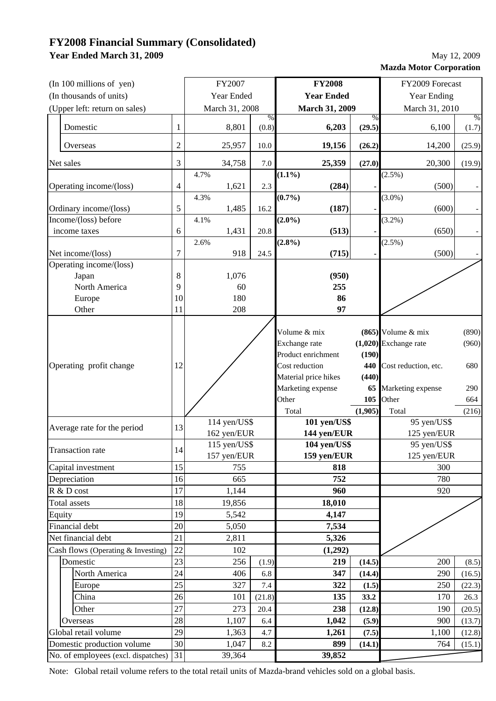# **FY2008 Financial Summary (Consolidated) Year Ended March 31, 2009**

| May 12, 2009                   |
|--------------------------------|
| <b>Mazda Motor Corporation</b> |

| (In 100 millions of yen)            |                | FY2007         | <b>FY2008</b>                      |                      |                                   | FY2009 Forecast |                            |        |  |
|-------------------------------------|----------------|----------------|------------------------------------|----------------------|-----------------------------------|-----------------|----------------------------|--------|--|
| (In thousands of units)             |                | Year Ended     | <b>Year Ended</b>                  |                      |                                   | Year Ending     |                            |        |  |
| (Upper left: return on sales)       |                | March 31, 2008 | March 31, 2009                     |                      |                                   | March 31, 2010  |                            |        |  |
|                                     |                |                | $\%$                               |                      |                                   | $\%$            |                            | $\%$   |  |
| Domestic                            | 1              | 8,801          | (0.8)                              |                      | 6,203                             | (29.5)          | 6,100                      | (1.7)  |  |
| Overseas                            | $\overline{c}$ | 25,957         | 10.0                               |                      | 19,156                            | (26.2)          | 14,200                     | (25.9) |  |
| Net sales                           | 3              | 34,758         | 7.0                                |                      | 25,359                            | (27.0)          | 20,300                     | (19.9) |  |
|                                     |                | 4.7%           |                                    | $(1.1\%)$            |                                   |                 | $(2.5\%)$                  |        |  |
| Operating income/(loss)             | 4              | 1,621          | 2.3                                |                      | (284)                             |                 | (500)                      |        |  |
| Ordinary income/(loss)              | 5              | 4.3%<br>1,485  | 16.2                               | $(0.7\%)$            | (187)                             |                 | $(3.0\%)$<br>(600)         |        |  |
| Income/(loss) before                |                | 4.1%           |                                    | $(2.0\%)$            |                                   |                 | $(3.2\%)$                  |        |  |
| income taxes                        | 6              | 1,431          | 20.8                               |                      | (513)                             |                 | (650)                      |        |  |
|                                     |                | 2.6%           |                                    | $(2.8\%)$            |                                   |                 | $(2.5\%)$                  |        |  |
| Net income/(loss)                   | $\overline{7}$ | 918            | 24.5                               |                      | (715)                             |                 | (500)                      |        |  |
| Operating income/(loss)             |                |                |                                    |                      |                                   |                 |                            |        |  |
| Japan                               | 8              | 1,076          |                                    |                      | (950)                             |                 |                            |        |  |
| North America                       | 9              | 60             |                                    |                      | 255                               |                 |                            |        |  |
| Europe                              | 10             | 180            |                                    |                      | 86                                |                 |                            |        |  |
| Other                               | 11             | 208            |                                    |                      | 97                                |                 |                            |        |  |
|                                     |                |                |                                    | Volume & mix         |                                   |                 | $(865)$ Volume & mix       | (890)  |  |
|                                     |                |                |                                    | Exchange rate        |                                   |                 | $(1,020)$ Exchange rate    | (960)  |  |
|                                     | 12             |                |                                    | Product enrichment   |                                   | (190)           |                            |        |  |
| Operating profit change             |                |                |                                    | Cost reduction       |                                   | 440             | Cost reduction, etc.       | 680    |  |
|                                     |                |                |                                    | Material price hikes |                                   | (440)           |                            |        |  |
|                                     |                |                |                                    | Marketing expense    |                                   | 65              | Marketing expense          | 290    |  |
|                                     |                |                |                                    | Other                |                                   | 105             | Other                      | 664    |  |
|                                     |                |                |                                    | Total                | $101$ yen/ $\overline{\text{US}}$ | (1,905)         | Total                      | (216)  |  |
| Average rate for the period         | 13             | 162 yen/EUR    | $114$ yen/US\$                     |                      |                                   |                 | 95 yen/US\$<br>125 yen/EUR |        |  |
|                                     |                | 115 yen/US\$   | 144 yen/EUR<br><b>104 yen/US\$</b> |                      |                                   | 95 yen/US\$     |                            |        |  |
| <b>Transaction rate</b>             | 14             | 157 yen/EUR    | 159 yen/EUR                        |                      |                                   | 125 yen/EUR     |                            |        |  |
| Capital investment                  | 15             | 755            |                                    |                      | 818                               |                 | 300                        |        |  |
| Depreciation                        | 16             | 665            | 752                                |                      |                                   | 780             |                            |        |  |
| R & D cost                          | 17             | 1,144          | 960                                |                      |                                   | 920             |                            |        |  |
| <b>Total</b> assets                 | 18             | 19,856         |                                    | 18,010               |                                   |                 |                            |        |  |
| Equity                              | 19             | 5,542          |                                    |                      | 4,147                             |                 |                            |        |  |
| Financial debt                      | 20             | 5,050          |                                    |                      | 7,534                             |                 |                            |        |  |
| Net financial debt                  | 21             | 2,811          | 5,326                              |                      |                                   |                 |                            |        |  |
| Cash flows (Operating & Investing)  | 22             | 102            |                                    |                      | (1,292)                           |                 |                            |        |  |
| Domestic                            | 23             | 256            | (1.9)                              |                      | 219                               | (14.5)          | 200                        | (8.5)  |  |
| North America                       | 24             | 406            | 6.8                                |                      | 347                               | (14.4)          | 290                        | (16.5) |  |
| Europe                              | 25             | 327            | 7.4                                |                      | 322                               | (1.5)           | 250                        | (22.3) |  |
| China                               | 26             | 101            | (21.8)                             |                      | 135                               | 33.2            | 170                        | 26.3   |  |
| Other                               | 27             | 273            | 20.4                               |                      | 238                               | (12.8)          | 190                        | (20.5) |  |
| Overseas                            | 28             | 1,107          | 6.4                                |                      | 1,042                             | (5.9)           | 900                        | (13.7) |  |
| Global retail volume                | 29             | 1,363          | 4.7                                |                      | 1,261                             | (7.5)           | 1,100                      | (12.8) |  |
| Domestic production volume          | 30             | 1,047          | 8.2                                |                      | 899                               | (14.1)          | 764                        | (15.1) |  |
| No. of employees (excl. dispatches) | 31             | 39,364         |                                    |                      | 39,852                            |                 |                            |        |  |

Note: Global retail volume refers to the total retail units of Mazda-brand vehicles sold on a global basis.